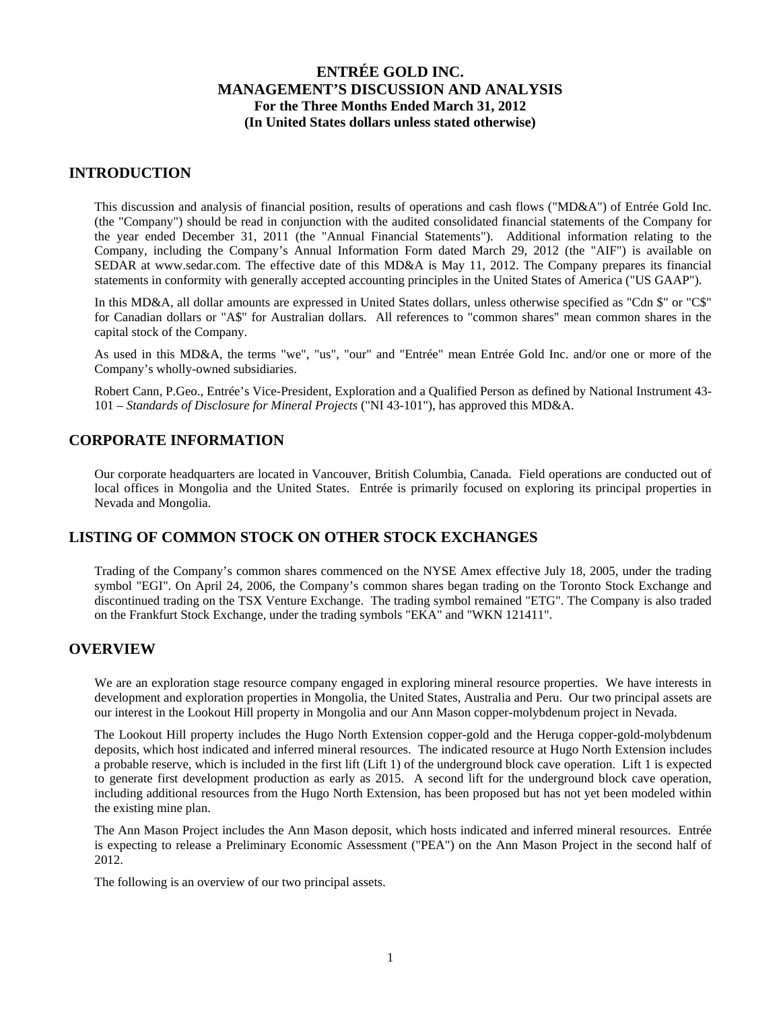### **INTRODUCTION**

This discussion and analysis of financial position, results of operations and cash flows ("MD&A") of Entrée Gold Inc. (the "Company") should be read in conjunction with the audited consolidated financial statements of the Company for the year ended December 31, 2011 (the "Annual Financial Statements"). Additional information relating to the Company, including the Company's Annual Information Form dated March 29, 2012 (the "AIF") is available on SEDAR at www.sedar.com. The effective date of this MD&A is May 11, 2012. The Company prepares its financial statements in conformity with generally accepted accounting principles in the United States of America ("US GAAP").

In this MD&A, all dollar amounts are expressed in United States dollars, unless otherwise specified as "Cdn \$" or "C\$" for Canadian dollars or "A\$" for Australian dollars. All references to "common shares" mean common shares in the capital stock of the Company.

As used in this MD&A, the terms "we", "us", "our" and "Entrée" mean Entrée Gold Inc. and/or one or more of the Company's wholly-owned subsidiaries.

Robert Cann, P.Geo., Entrée's Vice-President, Exploration and a Qualified Person as defined by National Instrument 43- 101 – *Standards of Disclosure for Mineral Projects* ("NI 43-101"), has approved this MD&A.

### **CORPORATE INFORMATION**

Our corporate headquarters are located in Vancouver, British Columbia, Canada. Field operations are conducted out of local offices in Mongolia and the United States. Entrée is primarily focused on exploring its principal properties in Nevada and Mongolia.

## **LISTING OF COMMON STOCK ON OTHER STOCK EXCHANGES**

Trading of the Company's common shares commenced on the NYSE Amex effective July 18, 2005, under the trading symbol "EGI". On April 24, 2006, the Company's common shares began trading on the Toronto Stock Exchange and discontinued trading on the TSX Venture Exchange. The trading symbol remained "ETG". The Company is also traded on the Frankfurt Stock Exchange, under the trading symbols "EKA" and "WKN 121411".

## **OVERVIEW**

We are an exploration stage resource company engaged in exploring mineral resource properties. We have interests in development and exploration properties in Mongolia, the United States, Australia and Peru. Our two principal assets are our interest in the Lookout Hill property in Mongolia and our Ann Mason copper-molybdenum project in Nevada.

The Lookout Hill property includes the Hugo North Extension copper-gold and the Heruga copper-gold-molybdenum deposits, which host indicated and inferred mineral resources. The indicated resource at Hugo North Extension includes a probable reserve, which is included in the first lift (Lift 1) of the underground block cave operation. Lift 1 is expected to generate first development production as early as 2015. A second lift for the underground block cave operation, including additional resources from the Hugo North Extension, has been proposed but has not yet been modeled within the existing mine plan.

The Ann Mason Project includes the Ann Mason deposit, which hosts indicated and inferred mineral resources. Entrée is expecting to release a Preliminary Economic Assessment ("PEA") on the Ann Mason Project in the second half of 2012.

The following is an overview of our two principal assets.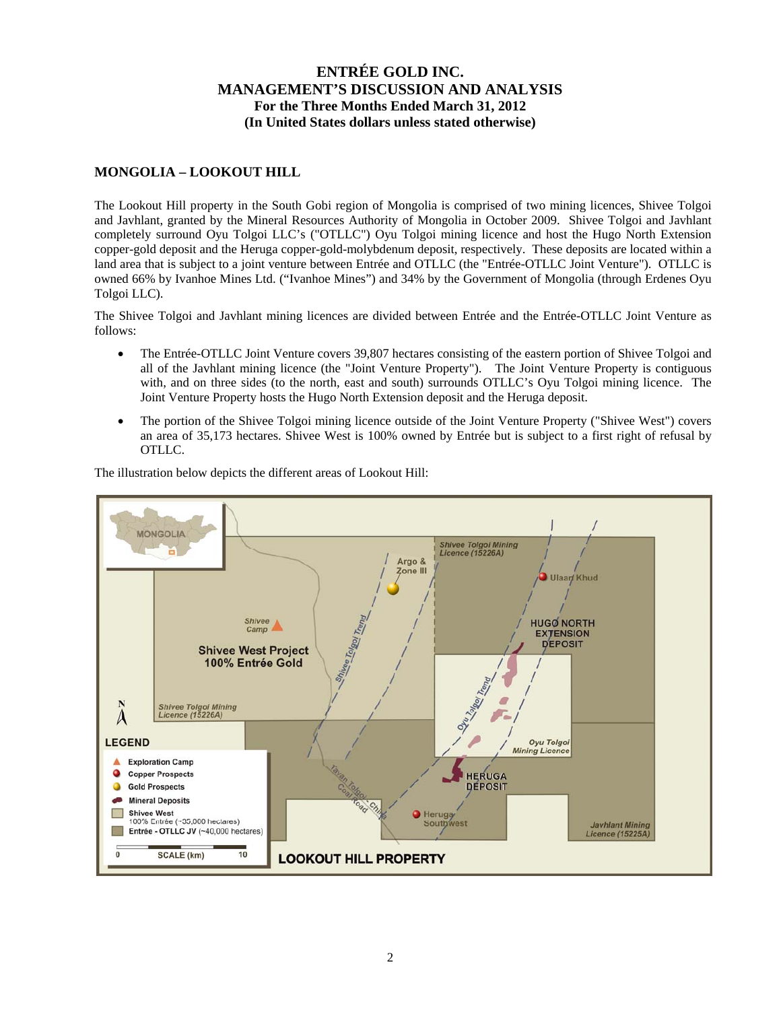### **MONGOLIA – LOOKOUT HILL**

The Lookout Hill property in the South Gobi region of Mongolia is comprised of two mining licences, Shivee Tolgoi and Javhlant, granted by the Mineral Resources Authority of Mongolia in October 2009. Shivee Tolgoi and Javhlant completely surround Oyu Tolgoi LLC's ("OTLLC") Oyu Tolgoi mining licence and host the Hugo North Extension copper-gold deposit and the Heruga copper-gold-molybdenum deposit, respectively. These deposits are located within a land area that is subject to a joint venture between Entrée and OTLLC (the "Entrée-OTLLC Joint Venture"). OTLLC is owned 66% by Ivanhoe Mines Ltd. ("Ivanhoe Mines") and 34% by the Government of Mongolia (through Erdenes Oyu Tolgoi LLC).

The Shivee Tolgoi and Javhlant mining licences are divided between Entrée and the Entrée-OTLLC Joint Venture as follows:

- The Entrée-OTLLC Joint Venture covers 39,807 hectares consisting of the eastern portion of Shivee Tolgoi and all of the Javhlant mining licence (the "Joint Venture Property"). The Joint Venture Property is contiguous with, and on three sides (to the north, east and south) surrounds OTLLC's Oyu Tolgoi mining licence. The Joint Venture Property hosts the Hugo North Extension deposit and the Heruga deposit.
- The portion of the Shivee Tolgoi mining licence outside of the Joint Venture Property ("Shivee West") covers an area of 35,173 hectares. Shivee West is 100% owned by Entrée but is subject to a first right of refusal by OTLLC.



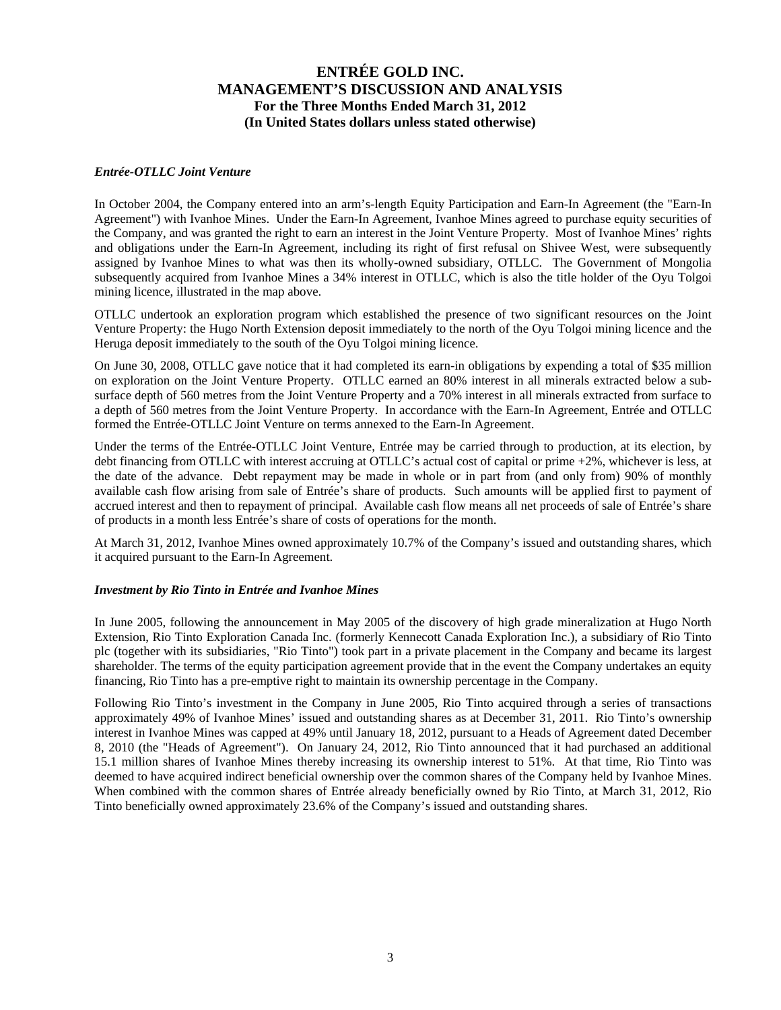### *Entrée-OTLLC Joint Venture*

In October 2004, the Company entered into an arm's-length Equity Participation and Earn-In Agreement (the "Earn-In Agreement") with Ivanhoe Mines. Under the Earn-In Agreement, Ivanhoe Mines agreed to purchase equity securities of the Company, and was granted the right to earn an interest in the Joint Venture Property. Most of Ivanhoe Mines' rights and obligations under the Earn-In Agreement, including its right of first refusal on Shivee West, were subsequently assigned by Ivanhoe Mines to what was then its wholly-owned subsidiary, OTLLC. The Government of Mongolia subsequently acquired from Ivanhoe Mines a 34% interest in OTLLC, which is also the title holder of the Oyu Tolgoi mining licence, illustrated in the map above.

OTLLC undertook an exploration program which established the presence of two significant resources on the Joint Venture Property: the Hugo North Extension deposit immediately to the north of the Oyu Tolgoi mining licence and the Heruga deposit immediately to the south of the Oyu Tolgoi mining licence.

On June 30, 2008, OTLLC gave notice that it had completed its earn-in obligations by expending a total of \$35 million on exploration on the Joint Venture Property. OTLLC earned an 80% interest in all minerals extracted below a subsurface depth of 560 metres from the Joint Venture Property and a 70% interest in all minerals extracted from surface to a depth of 560 metres from the Joint Venture Property. In accordance with the Earn-In Agreement, Entrée and OTLLC formed the Entrée-OTLLC Joint Venture on terms annexed to the Earn-In Agreement.

Under the terms of the Entrée-OTLLC Joint Venture, Entrée may be carried through to production, at its election, by debt financing from OTLLC with interest accruing at OTLLC's actual cost of capital or prime +2%, whichever is less, at the date of the advance. Debt repayment may be made in whole or in part from (and only from) 90% of monthly available cash flow arising from sale of Entrée's share of products. Such amounts will be applied first to payment of accrued interest and then to repayment of principal. Available cash flow means all net proceeds of sale of Entrée's share of products in a month less Entrée's share of costs of operations for the month.

At March 31, 2012, Ivanhoe Mines owned approximately 10.7% of the Company's issued and outstanding shares, which it acquired pursuant to the Earn-In Agreement.

#### *Investment by Rio Tinto in Entrée and Ivanhoe Mines*

In June 2005, following the announcement in May 2005 of the discovery of high grade mineralization at Hugo North Extension, Rio Tinto Exploration Canada Inc. (formerly Kennecott Canada Exploration Inc.), a subsidiary of Rio Tinto plc (together with its subsidiaries, "Rio Tinto") took part in a private placement in the Company and became its largest shareholder. The terms of the equity participation agreement provide that in the event the Company undertakes an equity financing, Rio Tinto has a pre-emptive right to maintain its ownership percentage in the Company.

Following Rio Tinto's investment in the Company in June 2005, Rio Tinto acquired through a series of transactions approximately 49% of Ivanhoe Mines' issued and outstanding shares as at December 31, 2011. Rio Tinto's ownership interest in Ivanhoe Mines was capped at 49% until January 18, 2012, pursuant to a Heads of Agreement dated December 8, 2010 (the "Heads of Agreement"). On January 24, 2012, Rio Tinto announced that it had purchased an additional 15.1 million shares of Ivanhoe Mines thereby increasing its ownership interest to 51%. At that time, Rio Tinto was deemed to have acquired indirect beneficial ownership over the common shares of the Company held by Ivanhoe Mines. When combined with the common shares of Entrée already beneficially owned by Rio Tinto, at March 31, 2012, Rio Tinto beneficially owned approximately 23.6% of the Company's issued and outstanding shares.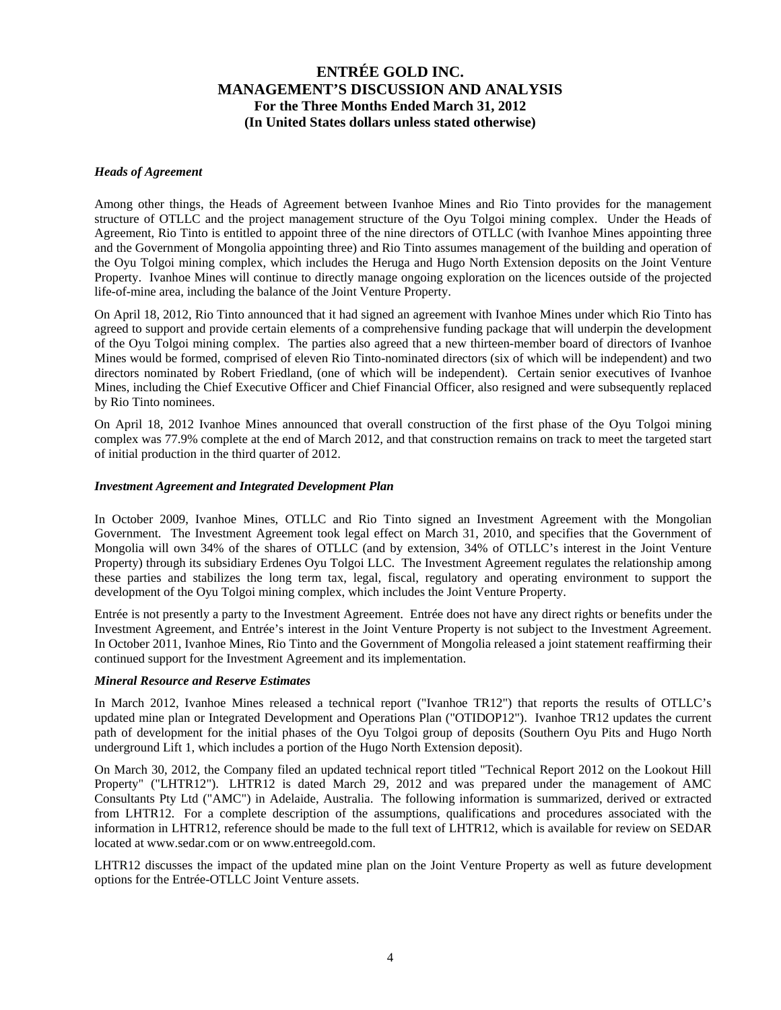### *Heads of Agreement*

Among other things, the Heads of Agreement between Ivanhoe Mines and Rio Tinto provides for the management structure of OTLLC and the project management structure of the Oyu Tolgoi mining complex. Under the Heads of Agreement, Rio Tinto is entitled to appoint three of the nine directors of OTLLC (with Ivanhoe Mines appointing three and the Government of Mongolia appointing three) and Rio Tinto assumes management of the building and operation of the Oyu Tolgoi mining complex, which includes the Heruga and Hugo North Extension deposits on the Joint Venture Property. Ivanhoe Mines will continue to directly manage ongoing exploration on the licences outside of the projected life-of-mine area, including the balance of the Joint Venture Property.

On April 18, 2012, Rio Tinto announced that it had signed an agreement with Ivanhoe Mines under which Rio Tinto has agreed to support and provide certain elements of a comprehensive funding package that will underpin the development of the Oyu Tolgoi mining complex. The parties also agreed that a new thirteen-member board of directors of Ivanhoe Mines would be formed, comprised of eleven Rio Tinto-nominated directors (six of which will be independent) and two directors nominated by Robert Friedland, (one of which will be independent). Certain senior executives of Ivanhoe Mines, including the Chief Executive Officer and Chief Financial Officer, also resigned and were subsequently replaced by Rio Tinto nominees.

On April 18, 2012 Ivanhoe Mines announced that overall construction of the first phase of the Oyu Tolgoi mining complex was 77.9% complete at the end of March 2012, and that construction remains on track to meet the targeted start of initial production in the third quarter of 2012.

#### *Investment Agreement and Integrated Development Plan*

In October 2009, Ivanhoe Mines, OTLLC and Rio Tinto signed an Investment Agreement with the Mongolian Government. The Investment Agreement took legal effect on March 31, 2010, and specifies that the Government of Mongolia will own 34% of the shares of OTLLC (and by extension, 34% of OTLLC's interest in the Joint Venture Property) through its subsidiary Erdenes Oyu Tolgoi LLC. The Investment Agreement regulates the relationship among these parties and stabilizes the long term tax, legal, fiscal, regulatory and operating environment to support the development of the Oyu Tolgoi mining complex, which includes the Joint Venture Property.

Entrée is not presently a party to the Investment Agreement. Entrée does not have any direct rights or benefits under the Investment Agreement, and Entrée's interest in the Joint Venture Property is not subject to the Investment Agreement. In October 2011, Ivanhoe Mines, Rio Tinto and the Government of Mongolia released a joint statement reaffirming their continued support for the Investment Agreement and its implementation.

### *Mineral Resource and Reserve Estimates*

In March 2012, Ivanhoe Mines released a technical report ("Ivanhoe TR12") that reports the results of OTLLC's updated mine plan or Integrated Development and Operations Plan ("OTIDOP12"). Ivanhoe TR12 updates the current path of development for the initial phases of the Oyu Tolgoi group of deposits (Southern Oyu Pits and Hugo North underground Lift 1, which includes a portion of the Hugo North Extension deposit).

On March 30, 2012, the Company filed an updated technical report titled "Technical Report 2012 on the Lookout Hill Property" ("LHTR12"). LHTR12 is dated March 29, 2012 and was prepared under the management of AMC Consultants Pty Ltd ("AMC") in Adelaide, Australia. The following information is summarized, derived or extracted from LHTR12. For a complete description of the assumptions, qualifications and procedures associated with the information in LHTR12, reference should be made to the full text of LHTR12, which is available for review on SEDAR located at www.sedar.com or on www.entreegold.com.

LHTR12 discusses the impact of the updated mine plan on the Joint Venture Property as well as future development options for the Entrée-OTLLC Joint Venture assets.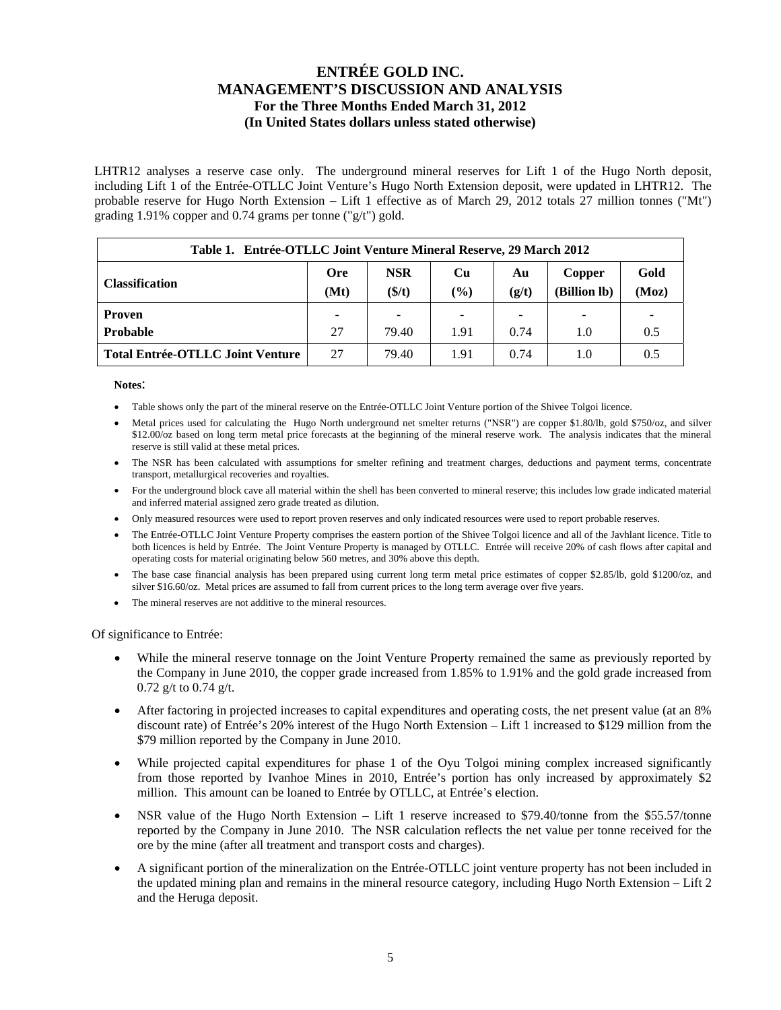LHTR12 analyses a reserve case only. The underground mineral reserves for Lift 1 of the Hugo North deposit, including Lift 1 of the Entrée-OTLLC Joint Venture's Hugo North Extension deposit, were updated in LHTR12. The probable reserve for Hugo North Extension – Lift 1 effective as of March 29, 2012 totals 27 million tonnes ("Mt") grading 1.91% copper and 0.74 grams per tonne ("g/t") gold.

| Table 1. Entrée-OTLLC Joint Venture Mineral Reserve, 29 March 2012                                                                         |    |                          |      |      |     |     |  |  |  |
|--------------------------------------------------------------------------------------------------------------------------------------------|----|--------------------------|------|------|-----|-----|--|--|--|
| <b>NSR</b><br>Gold<br>Cu<br><b>Ore</b><br>Copper<br>Au<br><b>Classification</b><br>(\$/t)<br>(Billion lb)<br>(Moz)<br>(Mt)<br>(%)<br>(g/t) |    |                          |      |      |     |     |  |  |  |
| <b>Proven</b>                                                                                                                              |    | $\overline{\phantom{a}}$ |      |      |     |     |  |  |  |
| <b>Probable</b>                                                                                                                            | 27 | 79.40                    | 1.91 | 0.74 | 1.0 | 0.5 |  |  |  |
| <b>Total Entrée-OTLLC Joint Venture</b>                                                                                                    | 27 | 79.40                    | 1.91 | 0.74 | 1.0 | 0.5 |  |  |  |

**Notes**:

- Table shows only the part of the mineral reserve on the Entrée-OTLLC Joint Venture portion of the Shivee Tolgoi licence.
- Metal prices used for calculating the Hugo North underground net smelter returns ("NSR") are copper \$1.80/lb, gold \$750/oz, and silver \$12.00/oz based on long term metal price forecasts at the beginning of the mineral reserve work. The analysis indicates that the mineral reserve is still valid at these metal prices.
- The NSR has been calculated with assumptions for smelter refining and treatment charges, deductions and payment terms, concentrate transport, metallurgical recoveries and royalties.
- For the underground block cave all material within the shell has been converted to mineral reserve; this includes low grade indicated material and inferred material assigned zero grade treated as dilution.
- Only measured resources were used to report proven reserves and only indicated resources were used to report probable reserves.
- The Entrée-OTLLC Joint Venture Property comprises the eastern portion of the Shivee Tolgoi licence and all of the Javhlant licence. Title to both licences is held by Entrée. The Joint Venture Property is managed by OTLLC. Entrée will receive 20% of cash flows after capital and operating costs for material originating below 560 metres, and 30% above this depth.
- The base case financial analysis has been prepared using current long term metal price estimates of copper \$2.85/lb, gold \$1200/oz, and silver \$16.60/oz. Metal prices are assumed to fall from current prices to the long term average over five years.
- The mineral reserves are not additive to the mineral resources.

Of significance to Entrée:

- While the mineral reserve tonnage on the Joint Venture Property remained the same as previously reported by the Company in June 2010, the copper grade increased from 1.85% to 1.91% and the gold grade increased from 0.72 g/t to 0.74 g/t.
- After factoring in projected increases to capital expenditures and operating costs, the net present value (at an 8% discount rate) of Entrée's 20% interest of the Hugo North Extension – Lift 1 increased to \$129 million from the \$79 million reported by the Company in June 2010.
- While projected capital expenditures for phase 1 of the Oyu Tolgoi mining complex increased significantly from those reported by Ivanhoe Mines in 2010, Entrée's portion has only increased by approximately \$2 million. This amount can be loaned to Entrée by OTLLC, at Entrée's election.
- NSR value of the Hugo North Extension Lift 1 reserve increased to \$79.40/tonne from the \$55.57/tonne reported by the Company in June 2010. The NSR calculation reflects the net value per tonne received for the ore by the mine (after all treatment and transport costs and charges).
- A significant portion of the mineralization on the Entrée-OTLLC joint venture property has not been included in the updated mining plan and remains in the mineral resource category, including Hugo North Extension – Lift 2 and the Heruga deposit.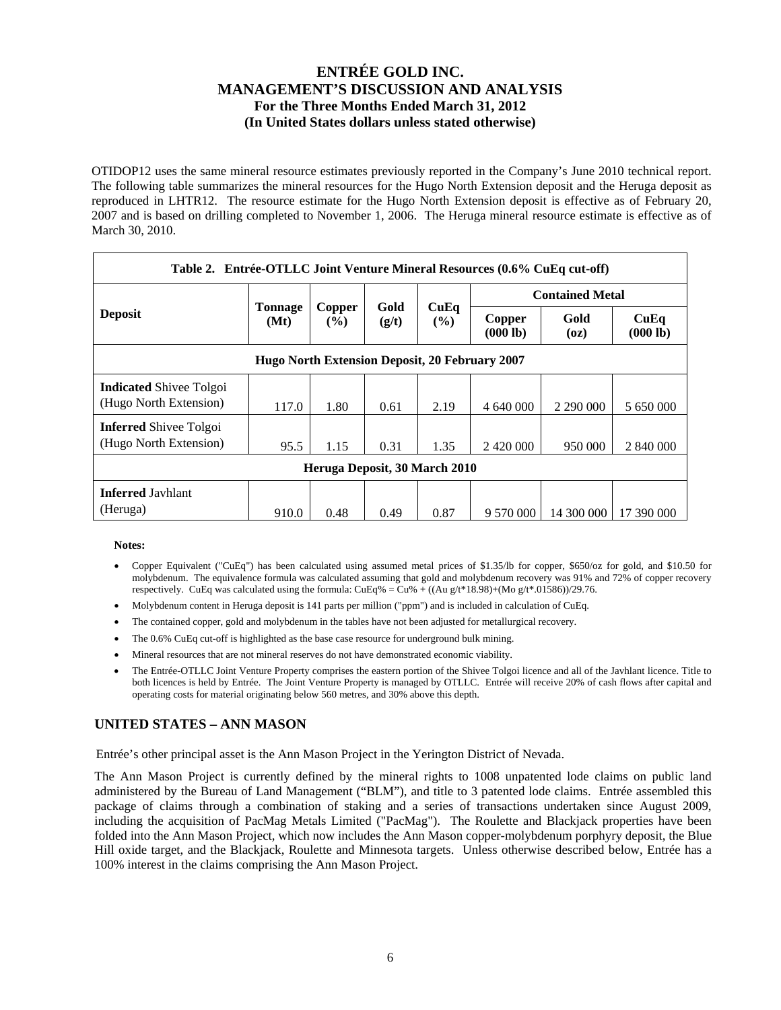OTIDOP12 uses the same mineral resource estimates previously reported in the Company's June 2010 technical report. The following table summarizes the mineral resources for the Hugo North Extension deposit and the Heruga deposit as reproduced in LHTR12. The resource estimate for the Hugo North Extension deposit is effective as of February 20, 2007 and is based on drilling completed to November 1, 2006. The Heruga mineral resource estimate is effective as of March 30, 2010.

| Table 2. Entrée-OTLLC Joint Venture Mineral Resources (0.6% CuEq cut-off) |                        |                                                |               |                |                        |              |                  |  |
|---------------------------------------------------------------------------|------------------------|------------------------------------------------|---------------|----------------|------------------------|--------------|------------------|--|
|                                                                           |                        |                                                |               | CuEq<br>$($ %) | <b>Contained Metal</b> |              |                  |  |
| <b>Deposit</b>                                                            | <b>Tonnage</b><br>(Mt) | Copper<br>$($ %)                               | Gold<br>(g/t) |                | Copper<br>(000 lb)     | Gold<br>(oz) | CuEq<br>(000 lb) |  |
|                                                                           |                        | Hugo North Extension Deposit, 20 February 2007 |               |                |                        |              |                  |  |
| <b>Indicated</b> Shivee Tolgoi<br>(Hugo North Extension)                  | 117.0                  | 1.80                                           | 0.61          | 2.19           | 4 640 000              | 2 290 000    | 5 650 000        |  |
| <b>Inferred</b> Shivee Tolgoi<br>(Hugo North Extension)                   | 95.5                   | 1.15                                           | 0.31          | 1.35           |                        | 950 000      | 2 840 000        |  |
|                                                                           |                        | Heruga Deposit, 30 March 2010                  |               |                |                        |              |                  |  |
| <b>Inferred</b> Jayhlant<br>(Heruga)                                      | 910.0                  | 0.48                                           | 0.49          | 0.87           | 9 570 000              | 14 300 000   | 17 390 000       |  |

#### **Notes:**

- Copper Equivalent ("CuEq") has been calculated using assumed metal prices of \$1.35/lb for copper, \$650/oz for gold, and \$10.50 for molybdenum. The equivalence formula was calculated assuming that gold and molybdenum recovery was 91% and 72% of copper recovery respectively. CuEq was calculated using the formula: CuEq% = Cu% + ((Au g/t\*18.98)+(Mo g/t\*.01586))/29.76.
- Molybdenum content in Heruga deposit is 141 parts per million ("ppm") and is included in calculation of CuEq.
- The contained copper, gold and molybdenum in the tables have not been adjusted for metallurgical recovery.
- The 0.6% CuEq cut-off is highlighted as the base case resource for underground bulk mining.
- Mineral resources that are not mineral reserves do not have demonstrated economic viability.
- The Entrée-OTLLC Joint Venture Property comprises the eastern portion of the Shivee Tolgoi licence and all of the Javhlant licence. Title to both licences is held by Entrée. The Joint Venture Property is managed by OTLLC. Entrée will receive 20% of cash flows after capital and operating costs for material originating below 560 metres, and 30% above this depth.

### **UNITED STATES – ANN MASON**

Entrée's other principal asset is the Ann Mason Project in the Yerington District of Nevada.

The Ann Mason Project is currently defined by the mineral rights to 1008 unpatented lode claims on public land administered by the Bureau of Land Management ("BLM"), and title to 3 patented lode claims. Entrée assembled this package of claims through a combination of staking and a series of transactions undertaken since August 2009, including the acquisition of PacMag Metals Limited ("PacMag"). The Roulette and Blackjack properties have been folded into the Ann Mason Project, which now includes the Ann Mason copper-molybdenum porphyry deposit, the Blue Hill oxide target, and the Blackjack, Roulette and Minnesota targets. Unless otherwise described below, Entrée has a 100% interest in the claims comprising the Ann Mason Project.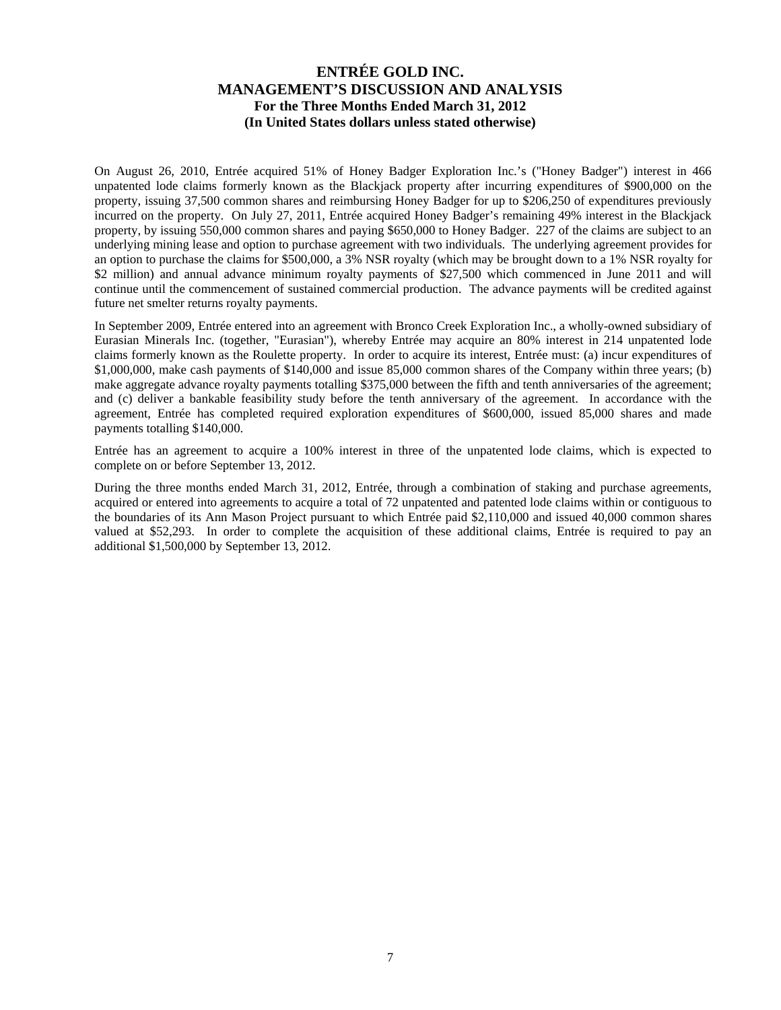On August 26, 2010, Entrée acquired 51% of Honey Badger Exploration Inc.'s ("Honey Badger") interest in 466 unpatented lode claims formerly known as the Blackjack property after incurring expenditures of \$900,000 on the property, issuing 37,500 common shares and reimbursing Honey Badger for up to \$206,250 of expenditures previously incurred on the property. On July 27, 2011, Entrée acquired Honey Badger's remaining 49% interest in the Blackjack property, by issuing 550,000 common shares and paying \$650,000 to Honey Badger. 227 of the claims are subject to an underlying mining lease and option to purchase agreement with two individuals. The underlying agreement provides for an option to purchase the claims for \$500,000, a 3% NSR royalty (which may be brought down to a 1% NSR royalty for \$2 million) and annual advance minimum royalty payments of \$27,500 which commenced in June 2011 and will continue until the commencement of sustained commercial production. The advance payments will be credited against future net smelter returns royalty payments.

In September 2009, Entrée entered into an agreement with Bronco Creek Exploration Inc., a wholly-owned subsidiary of Eurasian Minerals Inc. (together, "Eurasian"), whereby Entrée may acquire an 80% interest in 214 unpatented lode claims formerly known as the Roulette property. In order to acquire its interest, Entrée must: (a) incur expenditures of \$1,000,000, make cash payments of \$140,000 and issue 85,000 common shares of the Company within three years; (b) make aggregate advance royalty payments totalling \$375,000 between the fifth and tenth anniversaries of the agreement; and (c) deliver a bankable feasibility study before the tenth anniversary of the agreement. In accordance with the agreement, Entrée has completed required exploration expenditures of \$600,000, issued 85,000 shares and made payments totalling \$140,000.

Entrée has an agreement to acquire a 100% interest in three of the unpatented lode claims, which is expected to complete on or before September 13, 2012.

During the three months ended March 31, 2012, Entrée, through a combination of staking and purchase agreements, acquired or entered into agreements to acquire a total of 72 unpatented and patented lode claims within or contiguous to the boundaries of its Ann Mason Project pursuant to which Entrée paid \$2,110,000 and issued 40,000 common shares valued at \$52,293. In order to complete the acquisition of these additional claims, Entrée is required to pay an additional \$1,500,000 by September 13, 2012.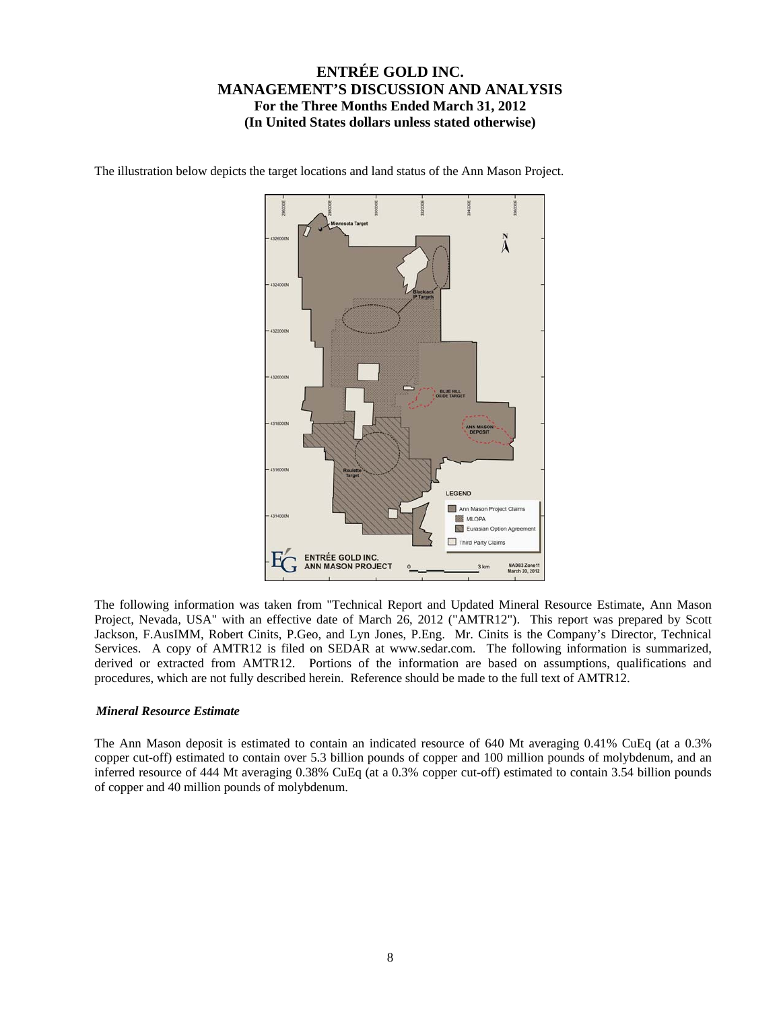

The illustration below depicts the target locations and land status of the Ann Mason Project.

The following information was taken from "Technical Report and Updated Mineral Resource Estimate, Ann Mason Project, Nevada, USA" with an effective date of March 26, 2012 ("AMTR12"). This report was prepared by Scott Jackson, F.AusIMM, Robert Cinits, P.Geo, and Lyn Jones, P.Eng. Mr. Cinits is the Company's Director, Technical Services. A copy of AMTR12 is filed on SEDAR at www.sedar.com. The following information is summarized, derived or extracted from AMTR12. Portions of the information are based on assumptions, qualifications and procedures, which are not fully described herein. Reference should be made to the full text of AMTR12.

#### *Mineral Resource Estimate*

The Ann Mason deposit is estimated to contain an indicated resource of 640 Mt averaging 0.41% CuEq (at a 0.3% copper cut-off) estimated to contain over 5.3 billion pounds of copper and 100 million pounds of molybdenum, and an inferred resource of 444 Mt averaging 0.38% CuEq (at a 0.3% copper cut-off) estimated to contain 3.54 billion pounds of copper and 40 million pounds of molybdenum.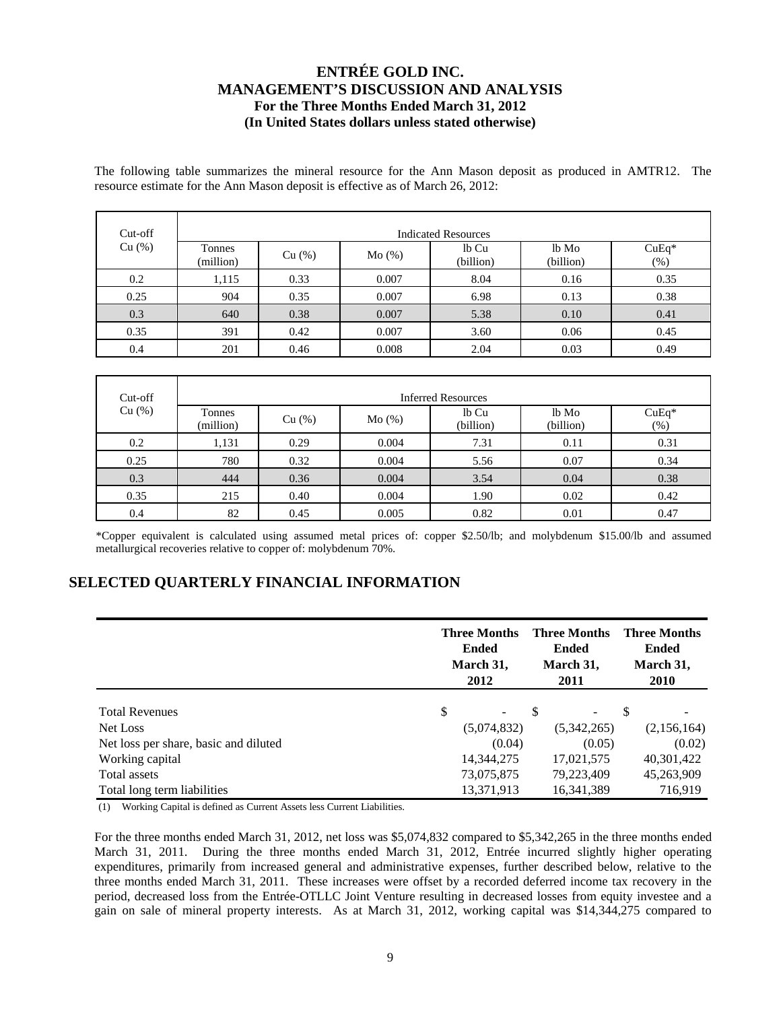The following table summarizes the mineral resource for the Ann Mason deposit as produced in AMTR12. The resource estimate for the Ann Mason deposit is effective as of March 26, 2012:

| Cut-off |                     | <b>Indicated Resources</b> |       |                    |                    |                    |  |  |  |  |  |  |  |  |
|---------|---------------------|----------------------------|-------|--------------------|--------------------|--------------------|--|--|--|--|--|--|--|--|
| Cu (%)  | Tonnes<br>(million) | Cu (%)                     | Mo(%) | lb Cu<br>(billion) | lb Mo<br>(billion) | $CuEq*$<br>$(\% )$ |  |  |  |  |  |  |  |  |
| 0.2     | 1,115               | 0.33                       | 0.007 | 8.04               | 0.16               | 0.35               |  |  |  |  |  |  |  |  |
| 0.25    | 904                 | 0.35                       | 0.007 | 6.98               | 0.13               | 0.38               |  |  |  |  |  |  |  |  |
| 0.3     | 640                 | 0.38                       | 0.007 | 5.38               | 0.10               | 0.41               |  |  |  |  |  |  |  |  |
| 0.35    | 391                 | 0.42                       | 0.007 | 3.60               | 0.06               | 0.45               |  |  |  |  |  |  |  |  |
| 0.4     | 201                 | 0.46                       | 0.008 | 2.04               | 0.03               | 0.49               |  |  |  |  |  |  |  |  |

| Cut-off | <b>Inferred Resources</b> |        |       |                    |                    |                   |  |  |  |  |  |  |
|---------|---------------------------|--------|-------|--------------------|--------------------|-------------------|--|--|--|--|--|--|
| Cu (%)  | Tonnes<br>(million)       | Cu (%) | Mo(%) | lb Cu<br>(billion) | lb Mo<br>(billion) | $CuEq*$<br>$(\%)$ |  |  |  |  |  |  |
| 0.2     | 1,131                     | 0.29   | 0.004 | 7.31               | 0.11               | 0.31              |  |  |  |  |  |  |
| 0.25    | 780                       | 0.32   | 0.004 | 5.56               | 0.07               | 0.34              |  |  |  |  |  |  |
| 0.3     | 444                       | 0.36   | 0.004 | 3.54               | 0.04               | 0.38              |  |  |  |  |  |  |
| 0.35    | 215                       | 0.40   | 0.004 | 1.90               | 0.02               | 0.42              |  |  |  |  |  |  |
| 0.4     | 82                        | 0.45   | 0.005 | 0.82               | 0.01               | 0.47              |  |  |  |  |  |  |

\*Copper equivalent is calculated using assumed metal prices of: copper \$2.50/lb; and molybdenum \$15.00/lb and assumed metallurgical recoveries relative to copper of: molybdenum 70%.

## **SELECTED QUARTERLY FINANCIAL INFORMATION**

|                                       | <b>Three Months</b><br><b>Ended</b><br>March 31,<br>2012 |    | <b>Three Months</b><br><b>Ended</b><br>March 31,<br>2011 |     | <b>Three Months</b><br><b>Ended</b><br>March 31,<br><b>2010</b> |
|---------------------------------------|----------------------------------------------------------|----|----------------------------------------------------------|-----|-----------------------------------------------------------------|
| <b>Total Revenues</b>                 | \$                                                       | -S |                                                          | -\$ |                                                                 |
| Net Loss                              | (5,074,832)                                              |    | (5,342,265)                                              |     | (2,156,164)                                                     |
| Net loss per share, basic and diluted | (0.04)                                                   |    | (0.05)                                                   |     | (0.02)                                                          |
| Working capital                       | 14,344,275                                               |    | 17,021,575                                               |     | 40,301,422                                                      |
| Total assets                          | 73,075,875                                               |    | 79,223,409                                               |     | 45,263,909                                                      |
| Total long term liabilities           | 13,371,913                                               |    | 16, 341, 389                                             |     | 716.919                                                         |

(1) Working Capital is defined as Current Assets less Current Liabilities.

For the three months ended March 31, 2012, net loss was \$5,074,832 compared to \$5,342,265 in the three months ended March 31, 2011. During the three months ended March 31, 2012, Entrée incurred slightly higher operating expenditures, primarily from increased general and administrative expenses, further described below, relative to the three months ended March 31, 2011. These increases were offset by a recorded deferred income tax recovery in the period, decreased loss from the Entrée-OTLLC Joint Venture resulting in decreased losses from equity investee and a gain on sale of mineral property interests. As at March 31, 2012, working capital was \$14,344,275 compared to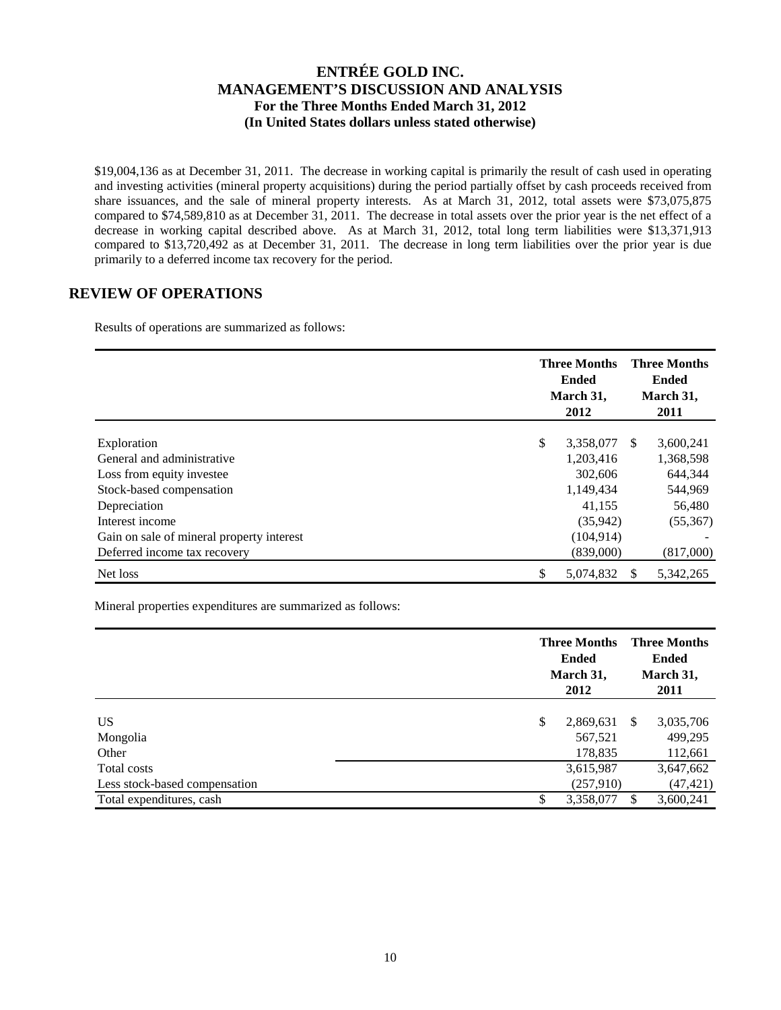\$19,004,136 as at December 31, 2011. The decrease in working capital is primarily the result of cash used in operating and investing activities (mineral property acquisitions) during the period partially offset by cash proceeds received from share issuances, and the sale of mineral property interests. As at March 31, 2012, total assets were \$73,075,875 compared to \$74,589,810 as at December 31, 2011. The decrease in total assets over the prior year is the net effect of a decrease in working capital described above. As at March 31, 2012, total long term liabilities were \$13,371,913 compared to \$13,720,492 as at December 31, 2011. The decrease in long term liabilities over the prior year is due primarily to a deferred income tax recovery for the period.

## **REVIEW OF OPERATIONS**

Results of operations are summarized as follows:

|                                           |     | <b>Three Months</b><br><b>Ended</b><br>March 31,<br>2012 |    | <b>Three Months</b><br><b>Ended</b><br>March 31,<br>2011 |
|-------------------------------------------|-----|----------------------------------------------------------|----|----------------------------------------------------------|
|                                           | \$. |                                                          |    |                                                          |
| Exploration<br>General and administrative |     | 3,358,077                                                | -S | 3,600,241                                                |
|                                           |     | 1,203,416                                                |    | 1,368,598                                                |
| Loss from equity investee                 |     | 302,606                                                  |    | 644,344                                                  |
| Stock-based compensation                  |     | 1,149,434                                                |    | 544,969                                                  |
| Depreciation                              |     | 41,155                                                   |    | 56,480                                                   |
| Interest income                           |     | (35,942)                                                 |    | (55, 367)                                                |
| Gain on sale of mineral property interest |     | (104, 914)                                               |    |                                                          |
| Deferred income tax recovery              |     | (839,000)                                                |    | (817,000)                                                |
| Net loss                                  | \$  | 5,074,832                                                | S  | 5,342,265                                                |

Mineral properties expenditures are summarized as follows:

|                                              | <b>Three Months</b><br><b>Ended</b><br>March 31,<br>2012 |    | <b>Three Months</b><br><b>Ended</b><br>March 31,<br>2011 |
|----------------------------------------------|----------------------------------------------------------|----|----------------------------------------------------------|
| <b>US</b><br>Mongolia<br>Other               | \$<br>2,869,631<br>567,521<br>178,835                    | -S | 3,035,706<br>499,295<br>112,661                          |
| Total costs<br>Less stock-based compensation | 3,615,987<br>(257,910)                                   |    | 3,647,662<br>(47, 421)                                   |
| Total expenditures, cash                     | 3,358,077<br>\$                                          |    | 3,600,241                                                |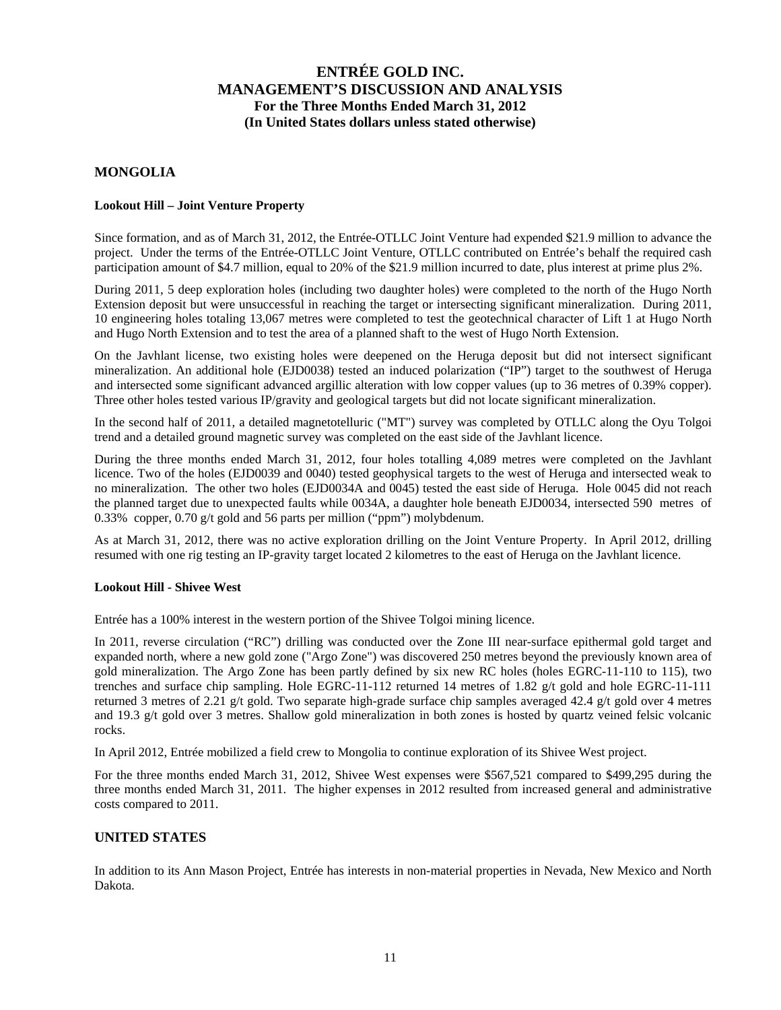### **MONGOLIA**

### **Lookout Hill – Joint Venture Property**

Since formation, and as of March 31, 2012, the Entrée-OTLLC Joint Venture had expended \$21.9 million to advance the project. Under the terms of the Entrée-OTLLC Joint Venture, OTLLC contributed on Entrée's behalf the required cash participation amount of \$4.7 million, equal to 20% of the \$21.9 million incurred to date, plus interest at prime plus 2%.

During 2011, 5 deep exploration holes (including two daughter holes) were completed to the north of the Hugo North Extension deposit but were unsuccessful in reaching the target or intersecting significant mineralization. During 2011, 10 engineering holes totaling 13,067 metres were completed to test the geotechnical character of Lift 1 at Hugo North and Hugo North Extension and to test the area of a planned shaft to the west of Hugo North Extension.

On the Javhlant license, two existing holes were deepened on the Heruga deposit but did not intersect significant mineralization. An additional hole (EJD0038) tested an induced polarization ("IP") target to the southwest of Heruga and intersected some significant advanced argillic alteration with low copper values (up to 36 metres of 0.39% copper). Three other holes tested various IP/gravity and geological targets but did not locate significant mineralization.

In the second half of 2011, a detailed magnetotelluric ("MT") survey was completed by OTLLC along the Oyu Tolgoi trend and a detailed ground magnetic survey was completed on the east side of the Javhlant licence.

During the three months ended March 31, 2012, four holes totalling 4,089 metres were completed on the Javhlant licence. Two of the holes (EJD0039 and 0040) tested geophysical targets to the west of Heruga and intersected weak to no mineralization. The other two holes (EJD0034A and 0045) tested the east side of Heruga. Hole 0045 did not reach the planned target due to unexpected faults while 0034A, a daughter hole beneath EJD0034, intersected 590 metres of 0.33% copper, 0.70 g/t gold and 56 parts per million ("ppm") molybdenum.

As at March 31, 2012, there was no active exploration drilling on the Joint Venture Property. In April 2012, drilling resumed with one rig testing an IP-gravity target located 2 kilometres to the east of Heruga on the Javhlant licence.

#### **Lookout Hill - Shivee West**

Entrée has a 100% interest in the western portion of the Shivee Tolgoi mining licence.

In 2011, reverse circulation ("RC") drilling was conducted over the Zone III near-surface epithermal gold target and expanded north, where a new gold zone ("Argo Zone") was discovered 250 metres beyond the previously known area of gold mineralization. The Argo Zone has been partly defined by six new RC holes (holes EGRC-11-110 to 115), two trenches and surface chip sampling. Hole EGRC-11-112 returned 14 metres of 1.82 g/t gold and hole EGRC-11-111 returned 3 metres of 2.21 g/t gold. Two separate high-grade surface chip samples averaged 42.4 g/t gold over 4 metres and 19.3 g/t gold over 3 metres. Shallow gold mineralization in both zones is hosted by quartz veined felsic volcanic rocks.

In April 2012, Entrée mobilized a field crew to Mongolia to continue exploration of its Shivee West project.

For the three months ended March 31, 2012, Shivee West expenses were \$567,521 compared to \$499,295 during the three months ended March 31, 2011. The higher expenses in 2012 resulted from increased general and administrative costs compared to 2011.

### **UNITED STATES**

In addition to its Ann Mason Project, Entrée has interests in non-material properties in Nevada, New Mexico and North Dakota.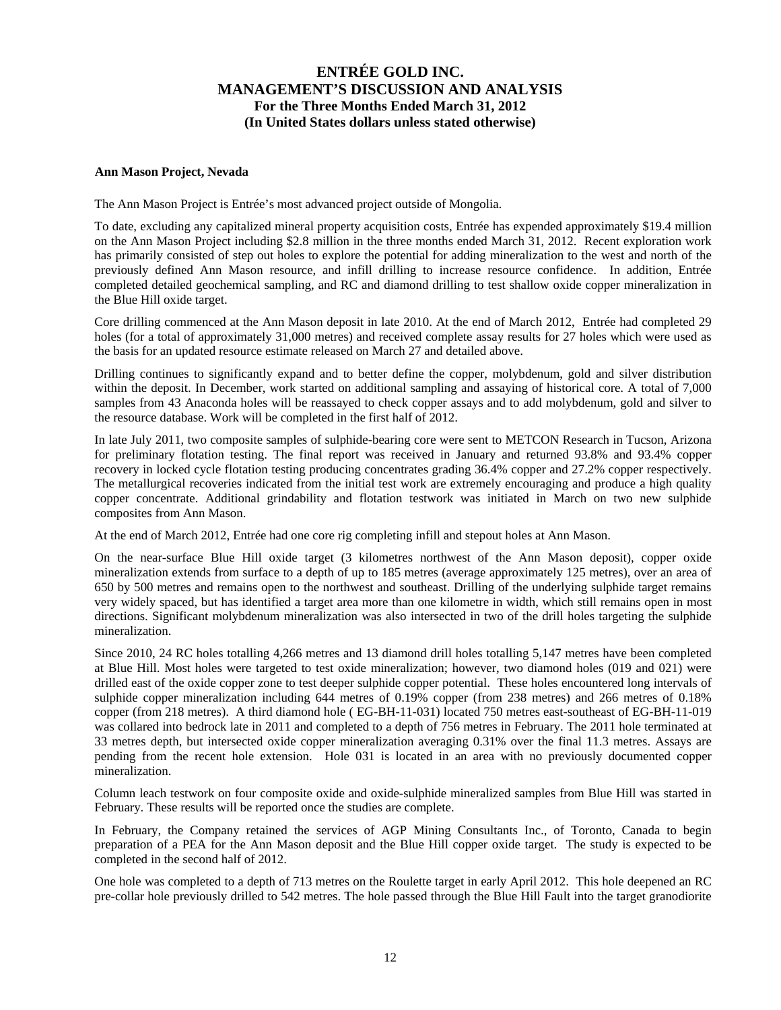### **Ann Mason Project, Nevada**

The Ann Mason Project is Entrée's most advanced project outside of Mongolia.

To date, excluding any capitalized mineral property acquisition costs, Entrée has expended approximately \$19.4 million on the Ann Mason Project including \$2.8 million in the three months ended March 31, 2012. Recent exploration work has primarily consisted of step out holes to explore the potential for adding mineralization to the west and north of the previously defined Ann Mason resource, and infill drilling to increase resource confidence. In addition, Entrée completed detailed geochemical sampling, and RC and diamond drilling to test shallow oxide copper mineralization in the Blue Hill oxide target.

Core drilling commenced at the Ann Mason deposit in late 2010. At the end of March 2012, Entrée had completed 29 holes (for a total of approximately 31,000 metres) and received complete assay results for 27 holes which were used as the basis for an updated resource estimate released on March 27 and detailed above.

Drilling continues to significantly expand and to better define the copper, molybdenum, gold and silver distribution within the deposit. In December, work started on additional sampling and assaying of historical core. A total of 7,000 samples from 43 Anaconda holes will be reassayed to check copper assays and to add molybdenum, gold and silver to the resource database. Work will be completed in the first half of 2012.

In late July 2011, two composite samples of sulphide-bearing core were sent to METCON Research in Tucson, Arizona for preliminary flotation testing. The final report was received in January and returned 93.8% and 93.4% copper recovery in locked cycle flotation testing producing concentrates grading 36.4% copper and 27.2% copper respectively. The metallurgical recoveries indicated from the initial test work are extremely encouraging and produce a high quality copper concentrate. Additional grindability and flotation testwork was initiated in March on two new sulphide composites from Ann Mason.

At the end of March 2012, Entrée had one core rig completing infill and stepout holes at Ann Mason.

On the near-surface Blue Hill oxide target (3 kilometres northwest of the Ann Mason deposit), copper oxide mineralization extends from surface to a depth of up to 185 metres (average approximately 125 metres), over an area of 650 by 500 metres and remains open to the northwest and southeast. Drilling of the underlying sulphide target remains very widely spaced, but has identified a target area more than one kilometre in width, which still remains open in most directions. Significant molybdenum mineralization was also intersected in two of the drill holes targeting the sulphide mineralization.

Since 2010, 24 RC holes totalling 4,266 metres and 13 diamond drill holes totalling 5,147 metres have been completed at Blue Hill. Most holes were targeted to test oxide mineralization; however, two diamond holes (019 and 021) were drilled east of the oxide copper zone to test deeper sulphide copper potential. These holes encountered long intervals of sulphide copper mineralization including 644 metres of 0.19% copper (from 238 metres) and 266 metres of 0.18% copper (from 218 metres). A third diamond hole ( EG-BH-11-031) located 750 metres east-southeast of EG-BH-11-019 was collared into bedrock late in 2011 and completed to a depth of 756 metres in February. The 2011 hole terminated at 33 metres depth, but intersected oxide copper mineralization averaging 0.31% over the final 11.3 metres. Assays are pending from the recent hole extension. Hole 031 is located in an area with no previously documented copper mineralization.

Column leach testwork on four composite oxide and oxide-sulphide mineralized samples from Blue Hill was started in February. These results will be reported once the studies are complete.

In February, the Company retained the services of AGP Mining Consultants Inc., of Toronto, Canada to begin preparation of a PEA for the Ann Mason deposit and the Blue Hill copper oxide target. The study is expected to be completed in the second half of 2012.

One hole was completed to a depth of 713 metres on the Roulette target in early April 2012. This hole deepened an RC pre-collar hole previously drilled to 542 metres. The hole passed through the Blue Hill Fault into the target granodiorite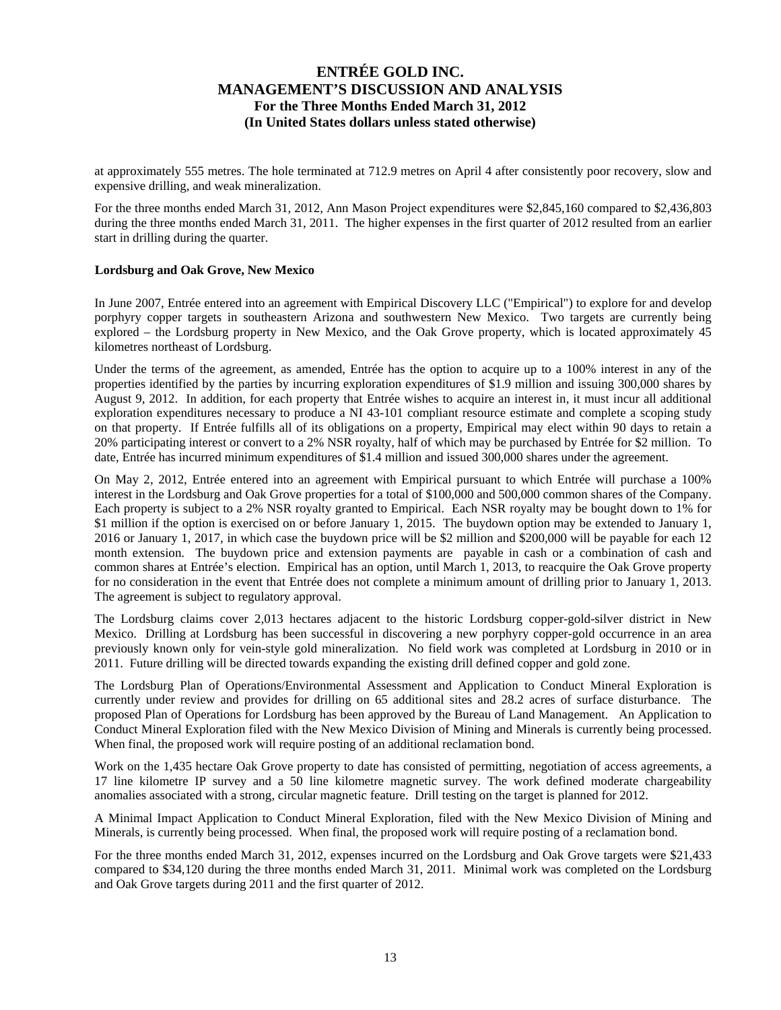at approximately 555 metres. The hole terminated at 712.9 metres on April 4 after consistently poor recovery, slow and expensive drilling, and weak mineralization.

For the three months ended March 31, 2012, Ann Mason Project expenditures were \$2,845,160 compared to \$2,436,803 during the three months ended March 31, 2011. The higher expenses in the first quarter of 2012 resulted from an earlier start in drilling during the quarter.

### **Lordsburg and Oak Grove, New Mexico**

In June 2007, Entrée entered into an agreement with Empirical Discovery LLC ("Empirical") to explore for and develop porphyry copper targets in southeastern Arizona and southwestern New Mexico. Two targets are currently being explored – the Lordsburg property in New Mexico, and the Oak Grove property, which is located approximately 45 kilometres northeast of Lordsburg.

Under the terms of the agreement, as amended, Entrée has the option to acquire up to a 100% interest in any of the properties identified by the parties by incurring exploration expenditures of \$1.9 million and issuing 300,000 shares by August 9, 2012. In addition, for each property that Entrée wishes to acquire an interest in, it must incur all additional exploration expenditures necessary to produce a NI 43-101 compliant resource estimate and complete a scoping study on that property. If Entrée fulfills all of its obligations on a property, Empirical may elect within 90 days to retain a 20% participating interest or convert to a 2% NSR royalty, half of which may be purchased by Entrée for \$2 million. To date, Entrée has incurred minimum expenditures of \$1.4 million and issued 300,000 shares under the agreement.

On May 2, 2012, Entrée entered into an agreement with Empirical pursuant to which Entrée will purchase a 100% interest in the Lordsburg and Oak Grove properties for a total of \$100,000 and 500,000 common shares of the Company. Each property is subject to a 2% NSR royalty granted to Empirical. Each NSR royalty may be bought down to 1% for \$1 million if the option is exercised on or before January 1, 2015. The buydown option may be extended to January 1, 2016 or January 1, 2017, in which case the buydown price will be \$2 million and \$200,000 will be payable for each 12 month extension. The buydown price and extension payments are payable in cash or a combination of cash and common shares at Entrée's election. Empirical has an option, until March 1, 2013, to reacquire the Oak Grove property for no consideration in the event that Entrée does not complete a minimum amount of drilling prior to January 1, 2013. The agreement is subject to regulatory approval.

The Lordsburg claims cover 2,013 hectares adjacent to the historic Lordsburg copper-gold-silver district in New Mexico. Drilling at Lordsburg has been successful in discovering a new porphyry copper-gold occurrence in an area previously known only for vein-style gold mineralization. No field work was completed at Lordsburg in 2010 or in 2011. Future drilling will be directed towards expanding the existing drill defined copper and gold zone.

The Lordsburg Plan of Operations/Environmental Assessment and Application to Conduct Mineral Exploration is currently under review and provides for drilling on 65 additional sites and 28.2 acres of surface disturbance. The proposed Plan of Operations for Lordsburg has been approved by the Bureau of Land Management. An Application to Conduct Mineral Exploration filed with the New Mexico Division of Mining and Minerals is currently being processed. When final, the proposed work will require posting of an additional reclamation bond.

Work on the 1,435 hectare Oak Grove property to date has consisted of permitting, negotiation of access agreements, a 17 line kilometre IP survey and a 50 line kilometre magnetic survey. The work defined moderate chargeability anomalies associated with a strong, circular magnetic feature. Drill testing on the target is planned for 2012.

A Minimal Impact Application to Conduct Mineral Exploration, filed with the New Mexico Division of Mining and Minerals, is currently being processed. When final, the proposed work will require posting of a reclamation bond.

For the three months ended March 31, 2012, expenses incurred on the Lordsburg and Oak Grove targets were \$21,433 compared to \$34,120 during the three months ended March 31, 2011. Minimal work was completed on the Lordsburg and Oak Grove targets during 2011 and the first quarter of 2012.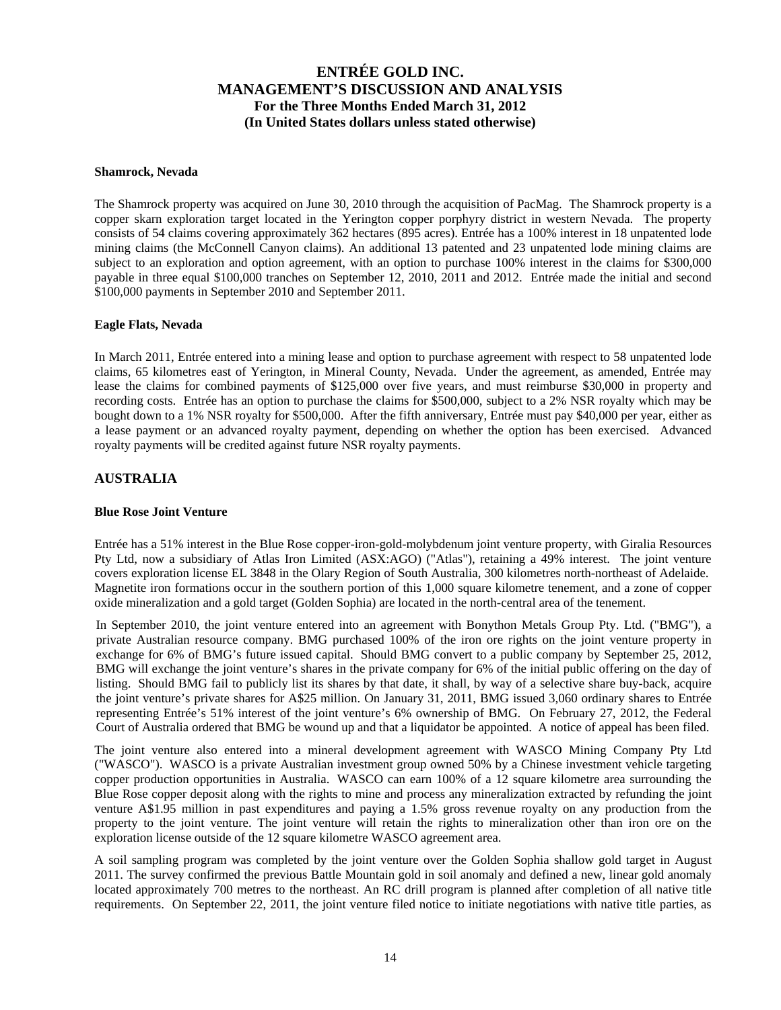#### **Shamrock, Nevada**

The Shamrock property was acquired on June 30, 2010 through the acquisition of PacMag. The Shamrock property is a copper skarn exploration target located in the Yerington copper porphyry district in western Nevada. The property consists of 54 claims covering approximately 362 hectares (895 acres). Entrée has a 100% interest in 18 unpatented lode mining claims (the McConnell Canyon claims). An additional 13 patented and 23 unpatented lode mining claims are subject to an exploration and option agreement, with an option to purchase 100% interest in the claims for \$300,000 payable in three equal \$100,000 tranches on September 12, 2010, 2011 and 2012. Entrée made the initial and second \$100,000 payments in September 2010 and September 2011.

#### **Eagle Flats, Nevada**

In March 2011, Entrée entered into a mining lease and option to purchase agreement with respect to 58 unpatented lode claims, 65 kilometres east of Yerington, in Mineral County, Nevada. Under the agreement, as amended, Entrée may lease the claims for combined payments of \$125,000 over five years, and must reimburse \$30,000 in property and recording costs. Entrée has an option to purchase the claims for \$500,000, subject to a 2% NSR royalty which may be bought down to a 1% NSR royalty for \$500,000. After the fifth anniversary, Entrée must pay \$40,000 per year, either as a lease payment or an advanced royalty payment, depending on whether the option has been exercised. Advanced royalty payments will be credited against future NSR royalty payments.

### **AUSTRALIA**

### **Blue Rose Joint Venture**

Entrée has a 51% interest in the Blue Rose copper-iron-gold-molybdenum joint venture property, with Giralia Resources Pty Ltd, now a subsidiary of Atlas Iron Limited (ASX:AGO) ("Atlas"), retaining a 49% interest. The joint venture covers exploration license EL 3848 in the Olary Region of South Australia, 300 kilometres north-northeast of Adelaide. Magnetite iron formations occur in the southern portion of this 1,000 square kilometre tenement, and a zone of copper oxide mineralization and a gold target (Golden Sophia) are located in the north-central area of the tenement.

In September 2010, the joint venture entered into an agreement with Bonython Metals Group Pty. Ltd. ("BMG"), a private Australian resource company. BMG purchased 100% of the iron ore rights on the joint venture property in exchange for 6% of BMG's future issued capital. Should BMG convert to a public company by September 25, 2012, BMG will exchange the joint venture's shares in the private company for 6% of the initial public offering on the day of listing. Should BMG fail to publicly list its shares by that date, it shall, by way of a selective share buy-back, acquire the joint venture's private shares for A\$25 million. On January 31, 2011, BMG issued 3,060 ordinary shares to Entrée representing Entrée's 51% interest of the joint venture's 6% ownership of BMG. On February 27, 2012, the Federal Court of Australia ordered that BMG be wound up and that a liquidator be appointed. A notice of appeal has been filed.

The joint venture also entered into a mineral development agreement with WASCO Mining Company Pty Ltd ("WASCO"). WASCO is a private Australian investment group owned 50% by a Chinese investment vehicle targeting copper production opportunities in Australia. WASCO can earn 100% of a 12 square kilometre area surrounding the Blue Rose copper deposit along with the rights to mine and process any mineralization extracted by refunding the joint venture A\$1.95 million in past expenditures and paying a 1.5% gross revenue royalty on any production from the property to the joint venture. The joint venture will retain the rights to mineralization other than iron ore on the exploration license outside of the 12 square kilometre WASCO agreement area.

A soil sampling program was completed by the joint venture over the Golden Sophia shallow gold target in August 2011. The survey confirmed the previous Battle Mountain gold in soil anomaly and defined a new, linear gold anomaly located approximately 700 metres to the northeast. An RC drill program is planned after completion of all native title requirements. On September 22, 2011, the joint venture filed notice to initiate negotiations with native title parties, as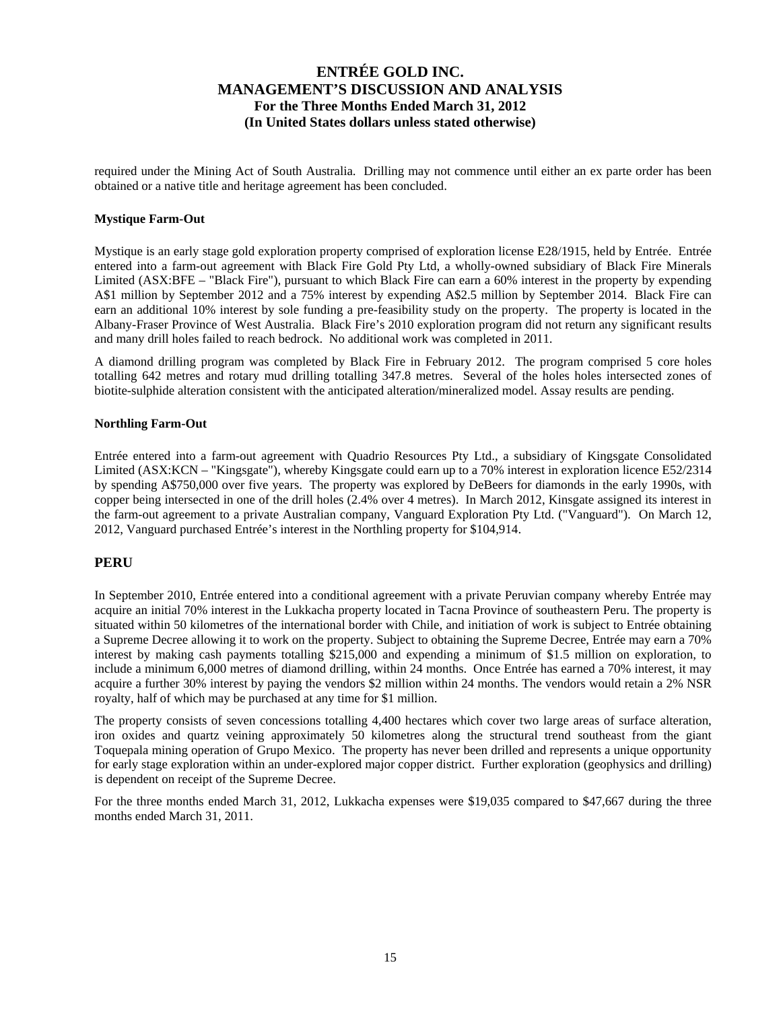required under the Mining Act of South Australia. Drilling may not commence until either an ex parte order has been obtained or a native title and heritage agreement has been concluded.

### **Mystique Farm-Out**

Mystique is an early stage gold exploration property comprised of exploration license E28/1915, held by Entrée. Entrée entered into a farm-out agreement with Black Fire Gold Pty Ltd, a wholly-owned subsidiary of Black Fire Minerals Limited (ASX:BFE – "Black Fire"), pursuant to which Black Fire can earn a 60% interest in the property by expending A\$1 million by September 2012 and a 75% interest by expending A\$2.5 million by September 2014. Black Fire can earn an additional 10% interest by sole funding a pre-feasibility study on the property. The property is located in the Albany-Fraser Province of West Australia. Black Fire's 2010 exploration program did not return any significant results and many drill holes failed to reach bedrock. No additional work was completed in 2011.

A diamond drilling program was completed by Black Fire in February 2012. The program comprised 5 core holes totalling 642 metres and rotary mud drilling totalling 347.8 metres. Several of the holes holes intersected zones of biotite-sulphide alteration consistent with the anticipated alteration/mineralized model. Assay results are pending.

### **Northling Farm-Out**

Entrée entered into a farm-out agreement with Quadrio Resources Pty Ltd., a subsidiary of Kingsgate Consolidated Limited (ASX:KCN – "Kingsgate"), whereby Kingsgate could earn up to a 70% interest in exploration licence E52/2314 by spending A\$750,000 over five years. The property was explored by DeBeers for diamonds in the early 1990s, with copper being intersected in one of the drill holes (2.4% over 4 metres). In March 2012, Kinsgate assigned its interest in the farm-out agreement to a private Australian company, Vanguard Exploration Pty Ltd. ("Vanguard"). On March 12, 2012, Vanguard purchased Entrée's interest in the Northling property for \$104,914.

### **PERU**

In September 2010, Entrée entered into a conditional agreement with a private Peruvian company whereby Entrée may acquire an initial 70% interest in the Lukkacha property located in Tacna Province of southeastern Peru. The property is situated within 50 kilometres of the international border with Chile, and initiation of work is subject to Entrée obtaining a Supreme Decree allowing it to work on the property. Subject to obtaining the Supreme Decree, Entrée may earn a 70% interest by making cash payments totalling \$215,000 and expending a minimum of \$1.5 million on exploration, to include a minimum 6,000 metres of diamond drilling, within 24 months. Once Entrée has earned a 70% interest, it may acquire a further 30% interest by paying the vendors \$2 million within 24 months. The vendors would retain a 2% NSR royalty, half of which may be purchased at any time for \$1 million.

The property consists of seven concessions totalling 4,400 hectares which cover two large areas of surface alteration, iron oxides and quartz veining approximately 50 kilometres along the structural trend southeast from the giant Toquepala mining operation of Grupo Mexico. The property has never been drilled and represents a unique opportunity for early stage exploration within an under-explored major copper district. Further exploration (geophysics and drilling) is dependent on receipt of the Supreme Decree.

For the three months ended March 31, 2012, Lukkacha expenses were \$19,035 compared to \$47,667 during the three months ended March 31, 2011.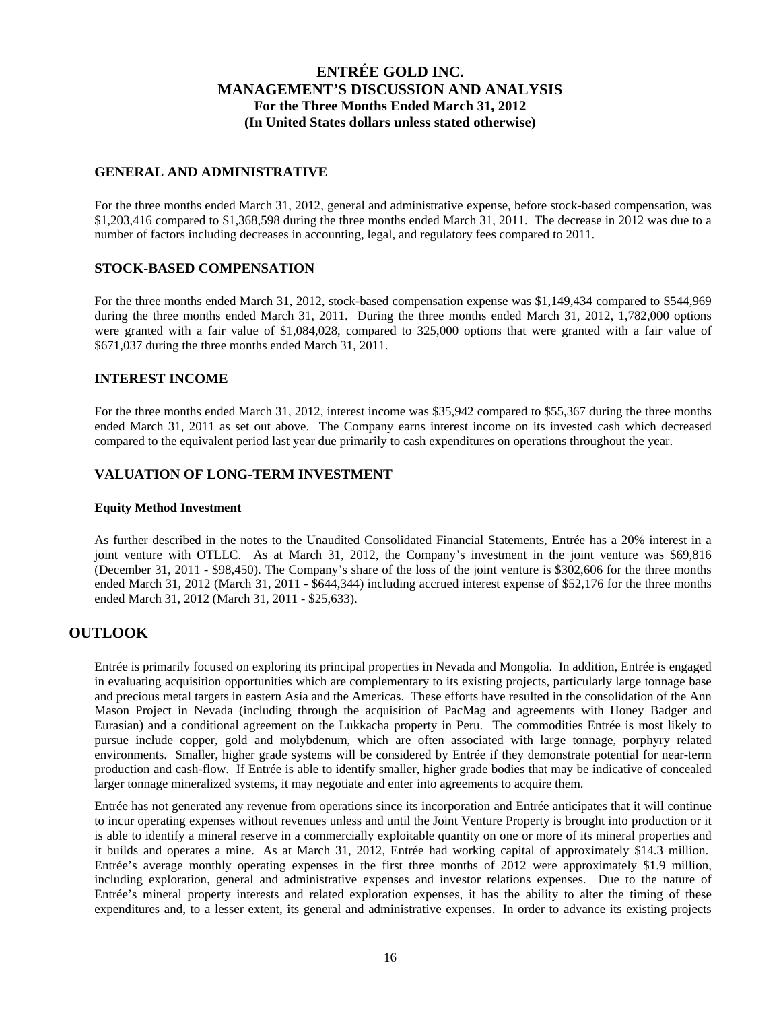### **GENERAL AND ADMINISTRATIVE**

For the three months ended March 31, 2012, general and administrative expense, before stock-based compensation, was \$1,203,416 compared to \$1,368,598 during the three months ended March 31, 2011. The decrease in 2012 was due to a number of factors including decreases in accounting, legal, and regulatory fees compared to 2011.

### **STOCK-BASED COMPENSATION**

For the three months ended March 31, 2012, stock-based compensation expense was \$1,149,434 compared to \$544,969 during the three months ended March 31, 2011. During the three months ended March 31, 2012, 1,782,000 options were granted with a fair value of \$1,084,028, compared to 325,000 options that were granted with a fair value of \$671,037 during the three months ended March 31, 2011.

### **INTEREST INCOME**

For the three months ended March 31, 2012, interest income was \$35,942 compared to \$55,367 during the three months ended March 31, 2011 as set out above. The Company earns interest income on its invested cash which decreased compared to the equivalent period last year due primarily to cash expenditures on operations throughout the year.

### **VALUATION OF LONG-TERM INVESTMENT**

### **Equity Method Investment**

As further described in the notes to the Unaudited Consolidated Financial Statements, Entrée has a 20% interest in a joint venture with OTLLC. As at March 31, 2012, the Company's investment in the joint venture was \$69,816 (December 31, 2011 - \$98,450). The Company's share of the loss of the joint venture is \$302,606 for the three months ended March 31, 2012 (March 31, 2011 - \$644,344) including accrued interest expense of \$52,176 for the three months ended March 31, 2012 (March 31, 2011 - \$25,633).

### **OUTLOOK**

Entrée is primarily focused on exploring its principal properties in Nevada and Mongolia. In addition, Entrée is engaged in evaluating acquisition opportunities which are complementary to its existing projects, particularly large tonnage base and precious metal targets in eastern Asia and the Americas. These efforts have resulted in the consolidation of the Ann Mason Project in Nevada (including through the acquisition of PacMag and agreements with Honey Badger and Eurasian) and a conditional agreement on the Lukkacha property in Peru. The commodities Entrée is most likely to pursue include copper, gold and molybdenum, which are often associated with large tonnage, porphyry related environments. Smaller, higher grade systems will be considered by Entrée if they demonstrate potential for near-term production and cash-flow. If Entrée is able to identify smaller, higher grade bodies that may be indicative of concealed larger tonnage mineralized systems, it may negotiate and enter into agreements to acquire them.

Entrée has not generated any revenue from operations since its incorporation and Entrée anticipates that it will continue to incur operating expenses without revenues unless and until the Joint Venture Property is brought into production or it is able to identify a mineral reserve in a commercially exploitable quantity on one or more of its mineral properties and it builds and operates a mine. As at March 31, 2012, Entrée had working capital of approximately \$14.3 million. Entrée's average monthly operating expenses in the first three months of 2012 were approximately \$1.9 million, including exploration, general and administrative expenses and investor relations expenses. Due to the nature of Entrée's mineral property interests and related exploration expenses, it has the ability to alter the timing of these expenditures and, to a lesser extent, its general and administrative expenses. In order to advance its existing projects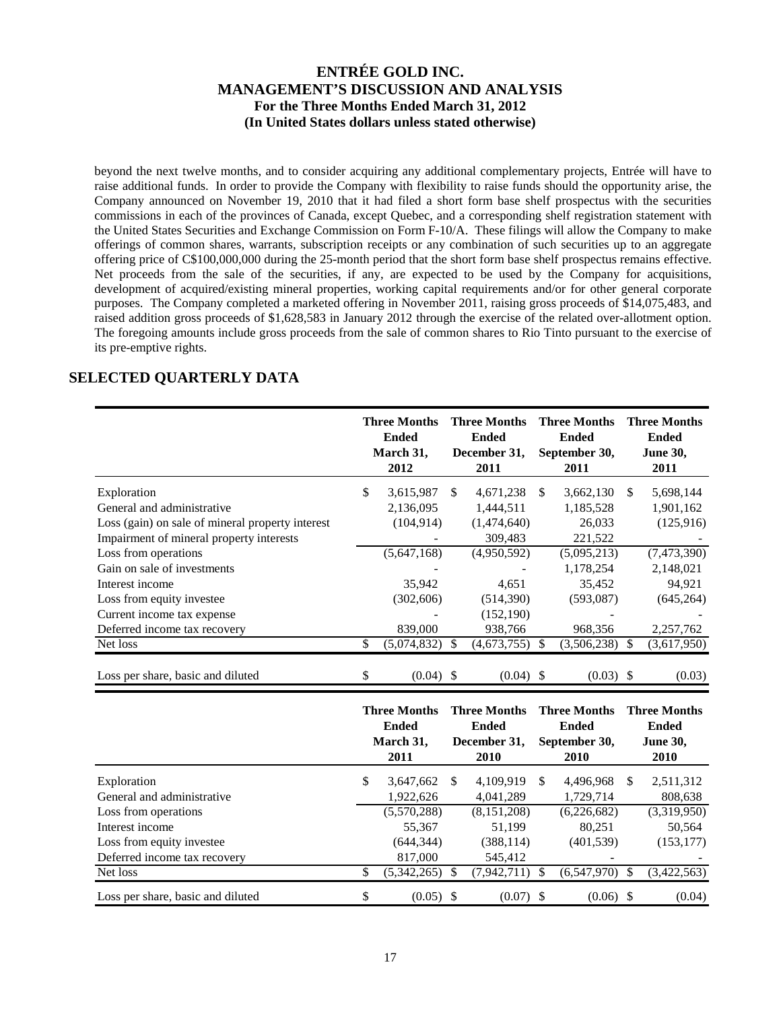beyond the next twelve months, and to consider acquiring any additional complementary projects, Entrée will have to raise additional funds. In order to provide the Company with flexibility to raise funds should the opportunity arise, the Company announced on November 19, 2010 that it had filed a short form base shelf prospectus with the securities commissions in each of the provinces of Canada, except Quebec, and a corresponding shelf registration statement with the United States Securities and Exchange Commission on Form F-10/A. These filings will allow the Company to make offerings of common shares, warrants, subscription receipts or any combination of such securities up to an aggregate offering price of C\$100,000,000 during the 25-month period that the short form base shelf prospectus remains effective. Net proceeds from the sale of the securities, if any, are expected to be used by the Company for acquisitions, development of acquired/existing mineral properties, working capital requirements and/or for other general corporate purposes. The Company completed a marketed offering in November 2011, raising gross proceeds of \$14,075,483, and raised addition gross proceeds of \$1,628,583 in January 2012 through the exercise of the related over-allotment option. The foregoing amounts include gross proceeds from the sale of common shares to Rio Tinto pursuant to the exercise of its pre-emptive rights.

|                                                  | <b>Three Months</b><br><b>Ended</b><br>March 31,<br>2012 |               | <b>Three Months</b><br><b>Ended</b><br>December 31.<br>2011 |    | <b>Three Months</b><br><b>Ended</b><br>September 30,<br>2011 |     | <b>Three Months</b><br><b>Ended</b><br><b>June 30,</b><br>2011 |
|--------------------------------------------------|----------------------------------------------------------|---------------|-------------------------------------------------------------|----|--------------------------------------------------------------|-----|----------------------------------------------------------------|
| Exploration                                      | \$<br>3,615,987                                          | <sup>\$</sup> | 4,671,238                                                   | -S | 3,662,130                                                    | \$. | 5,698,144                                                      |
| General and administrative                       | 2,136,095                                                |               | 1,444,511                                                   |    | 1,185,528                                                    |     | 1,901,162                                                      |
| Loss (gain) on sale of mineral property interest | (104, 914)                                               |               | (1,474,640)                                                 |    | 26,033                                                       |     | (125, 916)                                                     |
| Impairment of mineral property interests         |                                                          |               | 309,483                                                     |    | 221,522                                                      |     |                                                                |
| Loss from operations                             | (5,647,168)                                              |               | (4,950,592)                                                 |    | (5,095,213)                                                  |     | (7,473,390)                                                    |
| Gain on sale of investments                      |                                                          |               |                                                             |    | 1,178,254                                                    |     | 2,148,021                                                      |
| Interest income                                  | 35,942                                                   |               | 4,651                                                       |    | 35,452                                                       |     | 94,921                                                         |
| Loss from equity investee                        | (302,606)                                                |               | (514,390)                                                   |    | (593,087)                                                    |     | (645, 264)                                                     |
| Current income tax expense                       |                                                          |               | (152, 190)                                                  |    |                                                              |     |                                                                |
| Deferred income tax recovery                     | 839,000                                                  |               | 938,766                                                     |    | 968,356                                                      |     | 2,257,762                                                      |
| Net loss                                         | \$<br>(5,074,832)                                        | \$.           | (4,673,755)                                                 |    | (3,506,238)                                                  | \$  | (3,617,950)                                                    |
| Loss per share, basic and diluted                | \$<br>$(0.04)$ \$                                        |               | $(0.04)$ \$                                                 |    | $(0.03)$ \$                                                  |     | (0.03)                                                         |
|                                                  | <b>Three Months</b>                                      |               | <b>Three Months</b>                                         |    | <b>Three Months</b>                                          |     | <b>Three Months</b>                                            |

# **SELECTED QUARTERLY DATA**

|                                   | <b>Three Months</b><br><b>Ended</b><br>March 31,<br>2011 |               | <b>Three Months</b><br><b>Ended</b><br>December 31.<br>2010 |               | <b>Three Months</b><br><b>Ended</b><br>September 30,<br>2010 |     | <b>Three Months</b><br><b>Ended</b><br><b>June 30,</b><br>2010 |
|-----------------------------------|----------------------------------------------------------|---------------|-------------------------------------------------------------|---------------|--------------------------------------------------------------|-----|----------------------------------------------------------------|
|                                   |                                                          |               |                                                             |               |                                                              |     |                                                                |
| Exploration                       | \$<br>3,647,662                                          | <sup>\$</sup> | 4.109.919                                                   | <sup>\$</sup> | 4,496,968                                                    | \$. | 2,511,312                                                      |
| General and administrative        | 1,922,626                                                |               | 4,041,289                                                   |               | 1,729,714                                                    |     | 808,638                                                        |
| Loss from operations              | (5,570,288)                                              |               | (8,151,208)                                                 |               | (6,226,682)                                                  |     | (3,319,950)                                                    |
| Interest income                   | 55.367                                                   |               | 51.199                                                      |               | 80.251                                                       |     | 50.564                                                         |
| Loss from equity investee         | (644.344)                                                |               | (388, 114)                                                  |               | (401, 539)                                                   |     | (153, 177)                                                     |
| Deferred income tax recovery      | 817,000                                                  |               | 545,412                                                     |               |                                                              |     |                                                                |
| Net loss                          | \$<br>(5,342,265)                                        |               | (7,942,711)                                                 |               | (6,547,970)                                                  | \$  | (3,422,563)                                                    |
| Loss per share, basic and diluted | \$<br>$(0.05)$ \$                                        |               | $(0.07)$ \$                                                 |               | $(0.06)$ \$                                                  |     | (0.04)                                                         |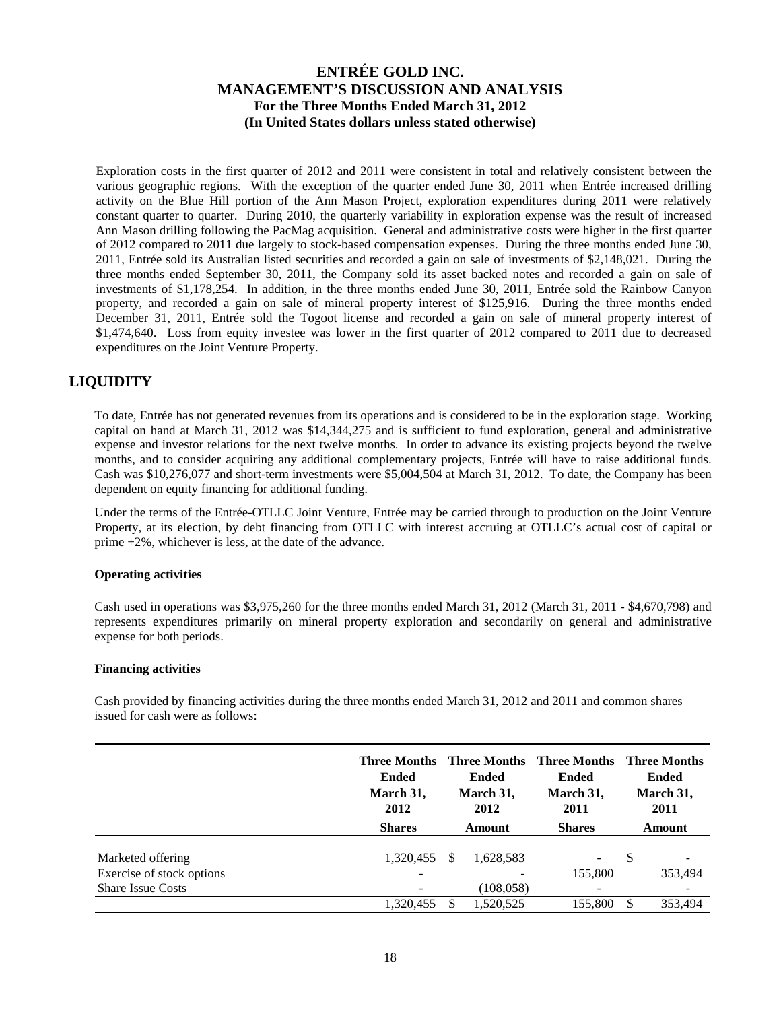Exploration costs in the first quarter of 2012 and 2011 were consistent in total and relatively consistent between the various geographic regions. With the exception of the quarter ended June 30, 2011 when Entrée increased drilling activity on the Blue Hill portion of the Ann Mason Project, exploration expenditures during 2011 were relatively constant quarter to quarter. During 2010, the quarterly variability in exploration expense was the result of increased Ann Mason drilling following the PacMag acquisition. General and administrative costs were higher in the first quarter of 2012 compared to 2011 due largely to stock-based compensation expenses. During the three months ended June 30, 2011, Entrée sold its Australian listed securities and recorded a gain on sale of investments of \$2,148,021. During the three months ended September 30, 2011, the Company sold its asset backed notes and recorded a gain on sale of investments of \$1,178,254. In addition, in the three months ended June 30, 2011, Entrée sold the Rainbow Canyon property, and recorded a gain on sale of mineral property interest of \$125,916. During the three months ended December 31, 2011, Entrée sold the Togoot license and recorded a gain on sale of mineral property interest of \$1,474,640. Loss from equity investee was lower in the first quarter of 2012 compared to 2011 due to decreased expenditures on the Joint Venture Property.

# **LIQUIDITY**

To date, Entrée has not generated revenues from its operations and is considered to be in the exploration stage. Working capital on hand at March 31, 2012 was \$14,344,275 and is sufficient to fund exploration, general and administrative expense and investor relations for the next twelve months. In order to advance its existing projects beyond the twelve months, and to consider acquiring any additional complementary projects, Entrée will have to raise additional funds. Cash was \$10,276,077 and short-term investments were \$5,004,504 at March 31, 2012. To date, the Company has been dependent on equity financing for additional funding.

Under the terms of the Entrée-OTLLC Joint Venture, Entrée may be carried through to production on the Joint Venture Property, at its election, by debt financing from OTLLC with interest accruing at OTLLC's actual cost of capital or prime +2%, whichever is less, at the date of the advance.

### **Operating activities**

Cash used in operations was \$3,975,260 for the three months ended March 31, 2012 (March 31, 2011 - \$4,670,798) and represents expenditures primarily on mineral property exploration and secondarily on general and administrative expense for both periods.

### **Financing activities**

Cash provided by financing activities during the three months ended March 31, 2012 and 2011 and common shares issued for cash were as follows:

|                           | Three Months<br><b>Ended</b><br>March 31,<br>2012 |     | <b>Ended</b><br>March 31,<br>2012 | <b>Three Months Three Months Three Months</b><br><b>Ended</b><br>March 31,<br>2011 |    | <b>Ended</b><br>March 31,<br>2011 |
|---------------------------|---------------------------------------------------|-----|-----------------------------------|------------------------------------------------------------------------------------|----|-----------------------------------|
|                           | <b>Shares</b>                                     |     | <b>Amount</b>                     | <b>Shares</b>                                                                      |    | Amount                            |
| Marketed offering         | 1.320.455                                         | \$. | 1,628,583                         | $\overline{\phantom{a}}$                                                           | -S |                                   |
| Exercise of stock options |                                                   |     |                                   | 155,800                                                                            |    | 353,494                           |
| <b>Share Issue Costs</b>  |                                                   |     | (108, 058)                        | ۰                                                                                  |    |                                   |
|                           | 1.320.455                                         |     | 1.520.525                         | 155,800                                                                            |    | 353.494                           |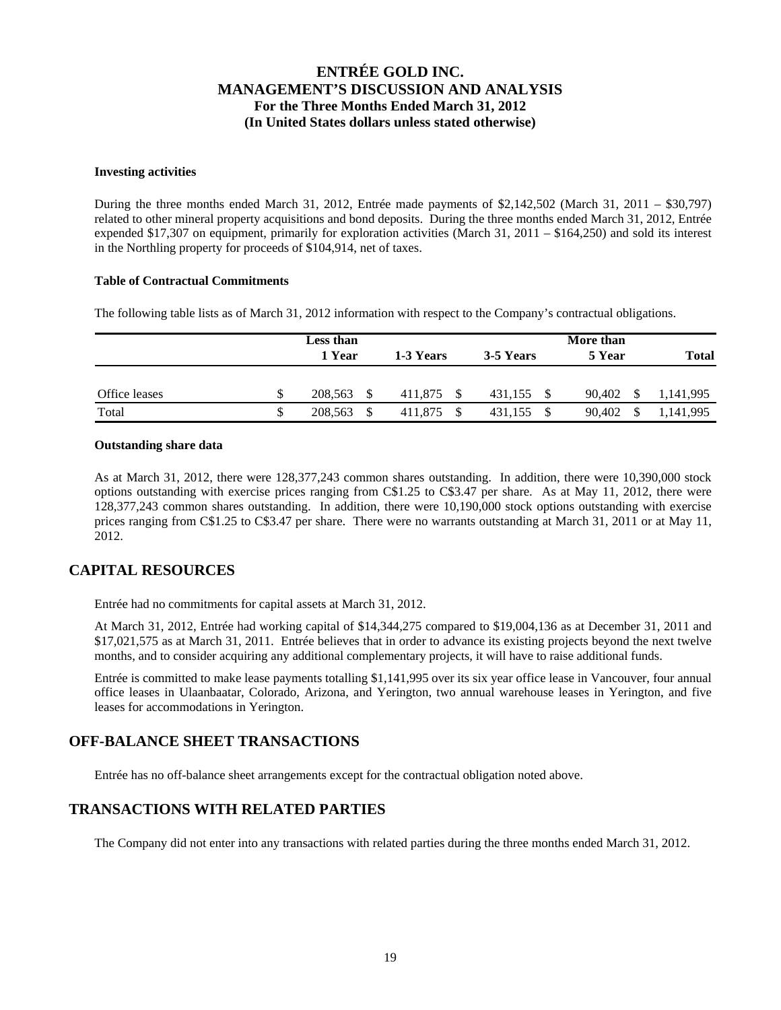#### **Investing activities**

During the three months ended March 31, 2012, Entrée made payments of \$2,142,502 (March 31, 2011 – \$30,797) related to other mineral property acquisitions and bond deposits. During the three months ended March 31, 2012, Entrée expended \$17,307 on equipment, primarily for exploration activities (March 31, 2011 – \$164,250) and sold its interest in the Northling property for proceeds of \$104,914, net of taxes.

### **Table of Contractual Commitments**

The following table lists as of March 31, 2012 information with respect to the Company's contractual obligations.

|               |    | Less than  |           |           | More than   |              |
|---------------|----|------------|-----------|-----------|-------------|--------------|
|               |    | 1 Year     | 1-3 Years | 3-5 Years | 5 Year      | <b>Total</b> |
|               |    |            |           |           |             |              |
| Office leases | S  | 208.563    | 411,875   | 431,155   | 90.402<br>S | 1,141,995    |
| Total         | \$ | 208.563 \$ | 411.875   | 431,155   | 90,402      | 1,141,995    |

### **Outstanding share data**

As at March 31, 2012, there were 128,377,243 common shares outstanding. In addition, there were 10,390,000 stock options outstanding with exercise prices ranging from C\$1.25 to C\$3.47 per share. As at May 11, 2012, there were 128,377,243 common shares outstanding. In addition, there were 10,190,000 stock options outstanding with exercise prices ranging from C\$1.25 to C\$3.47 per share. There were no warrants outstanding at March 31, 2011 or at May 11, 2012.

### **CAPITAL RESOURCES**

Entrée had no commitments for capital assets at March 31, 2012.

At March 31, 2012, Entrée had working capital of \$14,344,275 compared to \$19,004,136 as at December 31, 2011 and \$17,021,575 as at March 31, 2011. Entrée believes that in order to advance its existing projects beyond the next twelve months, and to consider acquiring any additional complementary projects, it will have to raise additional funds.

Entrée is committed to make lease payments totalling \$1,141,995 over its six year office lease in Vancouver, four annual office leases in Ulaanbaatar, Colorado, Arizona, and Yerington, two annual warehouse leases in Yerington, and five leases for accommodations in Yerington.

### **OFF-BALANCE SHEET TRANSACTIONS**

Entrée has no off-balance sheet arrangements except for the contractual obligation noted above.

## **TRANSACTIONS WITH RELATED PARTIES**

The Company did not enter into any transactions with related parties during the three months ended March 31, 2012.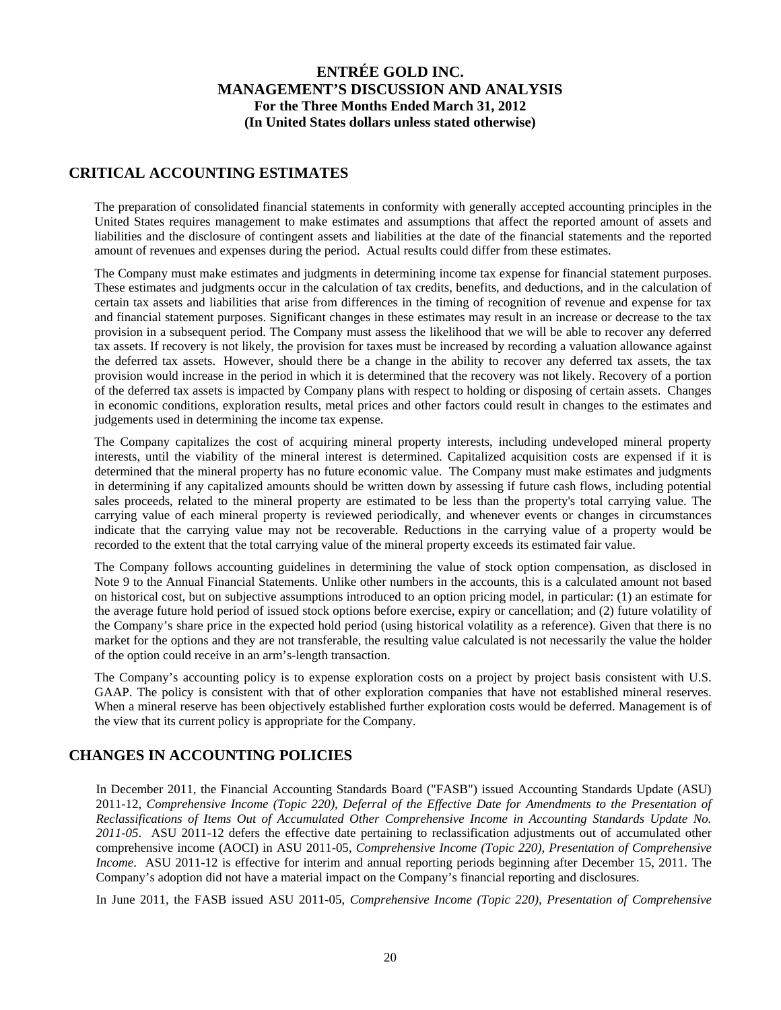### **CRITICAL ACCOUNTING ESTIMATES**

The preparation of consolidated financial statements in conformity with generally accepted accounting principles in the United States requires management to make estimates and assumptions that affect the reported amount of assets and liabilities and the disclosure of contingent assets and liabilities at the date of the financial statements and the reported amount of revenues and expenses during the period. Actual results could differ from these estimates.

The Company must make estimates and judgments in determining income tax expense for financial statement purposes. These estimates and judgments occur in the calculation of tax credits, benefits, and deductions, and in the calculation of certain tax assets and liabilities that arise from differences in the timing of recognition of revenue and expense for tax and financial statement purposes. Significant changes in these estimates may result in an increase or decrease to the tax provision in a subsequent period. The Company must assess the likelihood that we will be able to recover any deferred tax assets. If recovery is not likely, the provision for taxes must be increased by recording a valuation allowance against the deferred tax assets. However, should there be a change in the ability to recover any deferred tax assets, the tax provision would increase in the period in which it is determined that the recovery was not likely. Recovery of a portion of the deferred tax assets is impacted by Company plans with respect to holding or disposing of certain assets. Changes in economic conditions, exploration results, metal prices and other factors could result in changes to the estimates and judgements used in determining the income tax expense.

The Company capitalizes the cost of acquiring mineral property interests, including undeveloped mineral property interests, until the viability of the mineral interest is determined. Capitalized acquisition costs are expensed if it is determined that the mineral property has no future economic value. The Company must make estimates and judgments in determining if any capitalized amounts should be written down by assessing if future cash flows, including potential sales proceeds, related to the mineral property are estimated to be less than the property's total carrying value. The carrying value of each mineral property is reviewed periodically, and whenever events or changes in circumstances indicate that the carrying value may not be recoverable. Reductions in the carrying value of a property would be recorded to the extent that the total carrying value of the mineral property exceeds its estimated fair value.

The Company follows accounting guidelines in determining the value of stock option compensation, as disclosed in Note 9 to the Annual Financial Statements. Unlike other numbers in the accounts, this is a calculated amount not based on historical cost, but on subjective assumptions introduced to an option pricing model, in particular: (1) an estimate for the average future hold period of issued stock options before exercise, expiry or cancellation; and (2) future volatility of the Company's share price in the expected hold period (using historical volatility as a reference). Given that there is no market for the options and they are not transferable, the resulting value calculated is not necessarily the value the holder of the option could receive in an arm's-length transaction.

The Company's accounting policy is to expense exploration costs on a project by project basis consistent with U.S. GAAP. The policy is consistent with that of other exploration companies that have not established mineral reserves. When a mineral reserve has been objectively established further exploration costs would be deferred. Management is of the view that its current policy is appropriate for the Company.

## **CHANGES IN ACCOUNTING POLICIES**

In December 2011, the Financial Accounting Standards Board ("FASB") issued Accounting Standards Update (ASU) 2011-12, *Comprehensive Income (Topic 220), Deferral of the Effective Date for Amendments to the Presentation of Reclassifications of Items Out of Accumulated Other Comprehensive Income in Accounting Standards Update No. 2011-05*. ASU 2011-12 defers the effective date pertaining to reclassification adjustments out of accumulated other comprehensive income (AOCI) in ASU 2011-05, *Comprehensive Income (Topic 220), Presentation of Comprehensive Income*. ASU 2011-12 is effective for interim and annual reporting periods beginning after December 15, 2011. The Company's adoption did not have a material impact on the Company's financial reporting and disclosures.

In June 2011, the FASB issued ASU 2011-05, *Comprehensive Income (Topic 220), Presentation of Comprehensive*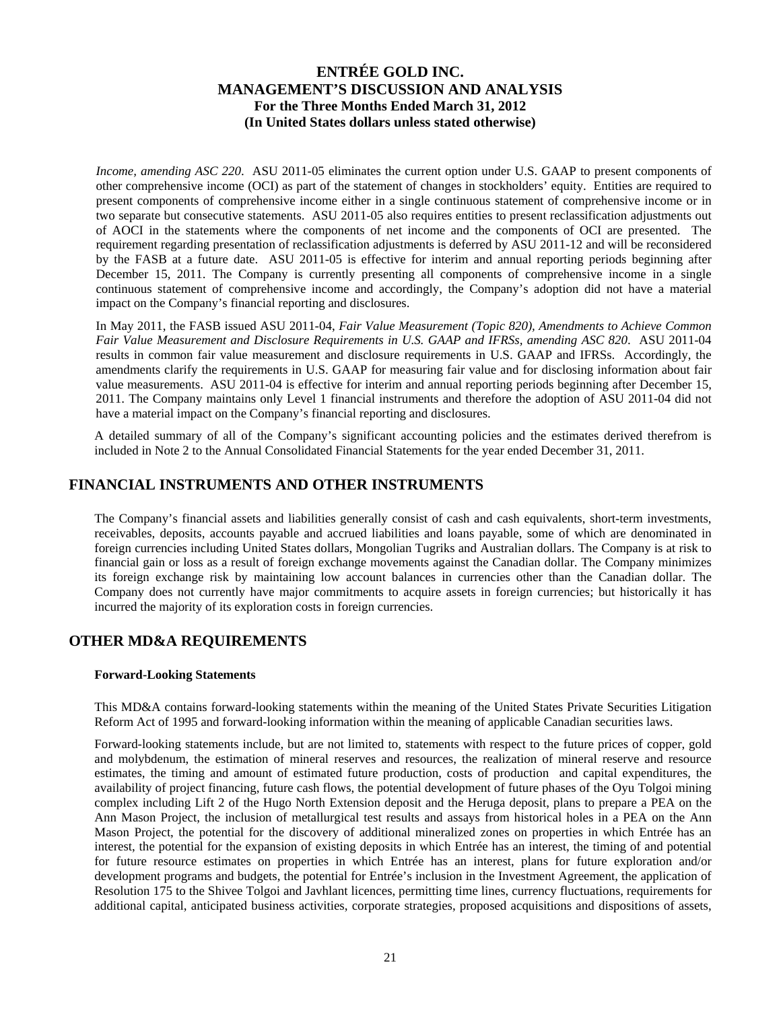*Income, amending ASC 220.* ASU 2011-05 eliminates the current option under U.S. GAAP to present components of other comprehensive income (OCI) as part of the statement of changes in stockholders' equity. Entities are required to present components of comprehensive income either in a single continuous statement of comprehensive income or in two separate but consecutive statements. ASU 2011-05 also requires entities to present reclassification adjustments out of AOCI in the statements where the components of net income and the components of OCI are presented. The requirement regarding presentation of reclassification adjustments is deferred by ASU 2011-12 and will be reconsidered by the FASB at a future date. ASU 2011-05 is effective for interim and annual reporting periods beginning after December 15, 2011. The Company is currently presenting all components of comprehensive income in a single continuous statement of comprehensive income and accordingly, the Company's adoption did not have a material impact on the Company's financial reporting and disclosures.

In May 2011, the FASB issued ASU 2011-04, *Fair Value Measurement (Topic 820), Amendments to Achieve Common Fair Value Measurement and Disclosure Requirements in U.S. GAAP and IFRSs, amending ASC 820*. ASU 2011-04 results in common fair value measurement and disclosure requirements in U.S. GAAP and IFRSs. Accordingly, the amendments clarify the requirements in U.S. GAAP for measuring fair value and for disclosing information about fair value measurements. ASU 2011-04 is effective for interim and annual reporting periods beginning after December 15, 2011. The Company maintains only Level 1 financial instruments and therefore the adoption of ASU 2011-04 did not have a material impact on the Company's financial reporting and disclosures.

A detailed summary of all of the Company's significant accounting policies and the estimates derived therefrom is included in Note 2 to the Annual Consolidated Financial Statements for the year ended December 31, 2011.

## **FINANCIAL INSTRUMENTS AND OTHER INSTRUMENTS**

The Company's financial assets and liabilities generally consist of cash and cash equivalents, short-term investments, receivables, deposits, accounts payable and accrued liabilities and loans payable, some of which are denominated in foreign currencies including United States dollars, Mongolian Tugriks and Australian dollars. The Company is at risk to financial gain or loss as a result of foreign exchange movements against the Canadian dollar. The Company minimizes its foreign exchange risk by maintaining low account balances in currencies other than the Canadian dollar. The Company does not currently have major commitments to acquire assets in foreign currencies; but historically it has incurred the majority of its exploration costs in foreign currencies.

## **OTHER MD&A REQUIREMENTS**

### **Forward-Looking Statements**

This MD&A contains forward-looking statements within the meaning of the United States Private Securities Litigation Reform Act of 1995 and forward-looking information within the meaning of applicable Canadian securities laws.

Forward-looking statements include, but are not limited to, statements with respect to the future prices of copper, gold and molybdenum, the estimation of mineral reserves and resources, the realization of mineral reserve and resource estimates, the timing and amount of estimated future production, costs of production and capital expenditures, the availability of project financing, future cash flows, the potential development of future phases of the Oyu Tolgoi mining complex including Lift 2 of the Hugo North Extension deposit and the Heruga deposit, plans to prepare a PEA on the Ann Mason Project, the inclusion of metallurgical test results and assays from historical holes in a PEA on the Ann Mason Project, the potential for the discovery of additional mineralized zones on properties in which Entrée has an interest, the potential for the expansion of existing deposits in which Entrée has an interest, the timing of and potential for future resource estimates on properties in which Entrée has an interest, plans for future exploration and/or development programs and budgets, the potential for Entrée's inclusion in the Investment Agreement, the application of Resolution 175 to the Shivee Tolgoi and Javhlant licences, permitting time lines, currency fluctuations, requirements for additional capital, anticipated business activities, corporate strategies, proposed acquisitions and dispositions of assets,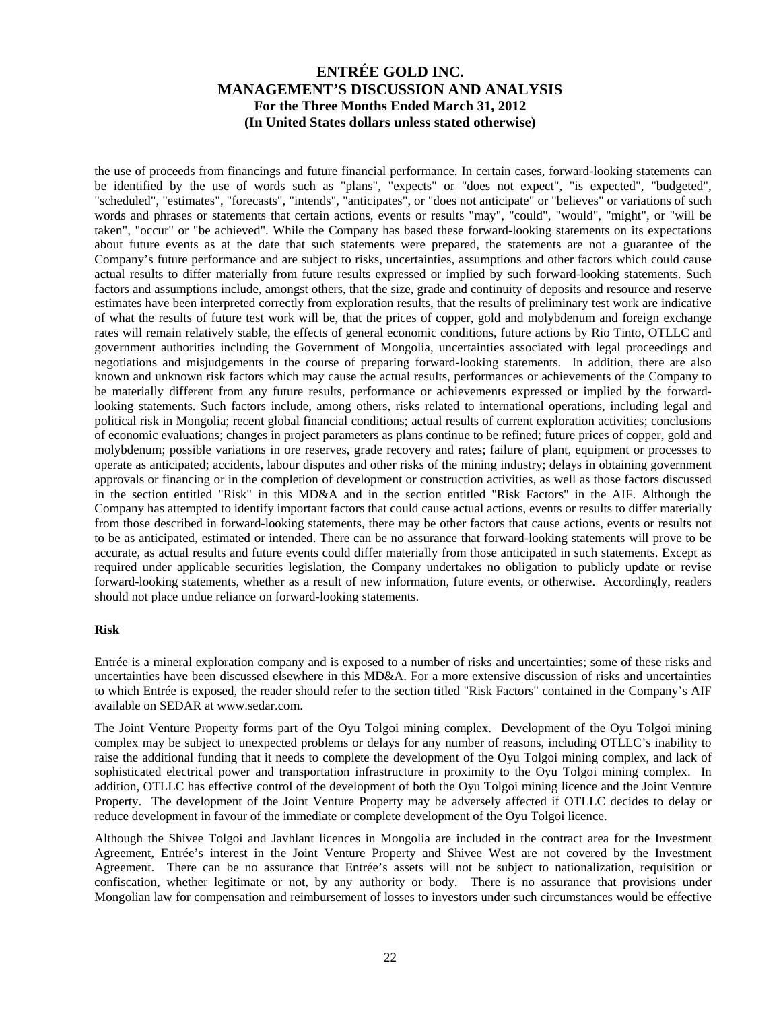the use of proceeds from financings and future financial performance. In certain cases, forward-looking statements can be identified by the use of words such as "plans", "expects" or "does not expect", "is expected", "budgeted", "scheduled", "estimates", "forecasts", "intends", "anticipates", or "does not anticipate" or "believes" or variations of such words and phrases or statements that certain actions, events or results "may", "could", "would", "might", or "will be taken", "occur" or "be achieved". While the Company has based these forward-looking statements on its expectations about future events as at the date that such statements were prepared, the statements are not a guarantee of the Company's future performance and are subject to risks, uncertainties, assumptions and other factors which could cause actual results to differ materially from future results expressed or implied by such forward-looking statements. Such factors and assumptions include, amongst others, that the size, grade and continuity of deposits and resource and reserve estimates have been interpreted correctly from exploration results, that the results of preliminary test work are indicative of what the results of future test work will be, that the prices of copper, gold and molybdenum and foreign exchange rates will remain relatively stable, the effects of general economic conditions, future actions by Rio Tinto, OTLLC and government authorities including the Government of Mongolia, uncertainties associated with legal proceedings and negotiations and misjudgements in the course of preparing forward-looking statements. In addition, there are also known and unknown risk factors which may cause the actual results, performances or achievements of the Company to be materially different from any future results, performance or achievements expressed or implied by the forwardlooking statements. Such factors include, among others, risks related to international operations, including legal and political risk in Mongolia; recent global financial conditions; actual results of current exploration activities; conclusions of economic evaluations; changes in project parameters as plans continue to be refined; future prices of copper, gold and molybdenum; possible variations in ore reserves, grade recovery and rates; failure of plant, equipment or processes to operate as anticipated; accidents, labour disputes and other risks of the mining industry; delays in obtaining government approvals or financing or in the completion of development or construction activities, as well as those factors discussed in the section entitled "Risk" in this MD&A and in the section entitled "Risk Factors" in the AIF. Although the Company has attempted to identify important factors that could cause actual actions, events or results to differ materially from those described in forward-looking statements, there may be other factors that cause actions, events or results not to be as anticipated, estimated or intended. There can be no assurance that forward-looking statements will prove to be accurate, as actual results and future events could differ materially from those anticipated in such statements. Except as required under applicable securities legislation, the Company undertakes no obligation to publicly update or revise forward-looking statements, whether as a result of new information, future events, or otherwise. Accordingly, readers should not place undue reliance on forward-looking statements.

### **Risk**

Entrée is a mineral exploration company and is exposed to a number of risks and uncertainties; some of these risks and uncertainties have been discussed elsewhere in this MD&A. For a more extensive discussion of risks and uncertainties to which Entrée is exposed, the reader should refer to the section titled "Risk Factors" contained in the Company's AIF available on SEDAR at www.sedar.com.

The Joint Venture Property forms part of the Oyu Tolgoi mining complex. Development of the Oyu Tolgoi mining complex may be subject to unexpected problems or delays for any number of reasons, including OTLLC's inability to raise the additional funding that it needs to complete the development of the Oyu Tolgoi mining complex, and lack of sophisticated electrical power and transportation infrastructure in proximity to the Oyu Tolgoi mining complex. In addition, OTLLC has effective control of the development of both the Oyu Tolgoi mining licence and the Joint Venture Property. The development of the Joint Venture Property may be adversely affected if OTLLC decides to delay or reduce development in favour of the immediate or complete development of the Oyu Tolgoi licence.

Although the Shivee Tolgoi and Javhlant licences in Mongolia are included in the contract area for the Investment Agreement, Entrée's interest in the Joint Venture Property and Shivee West are not covered by the Investment Agreement. There can be no assurance that Entrée's assets will not be subject to nationalization, requisition or confiscation, whether legitimate or not, by any authority or body. There is no assurance that provisions under Mongolian law for compensation and reimbursement of losses to investors under such circumstances would be effective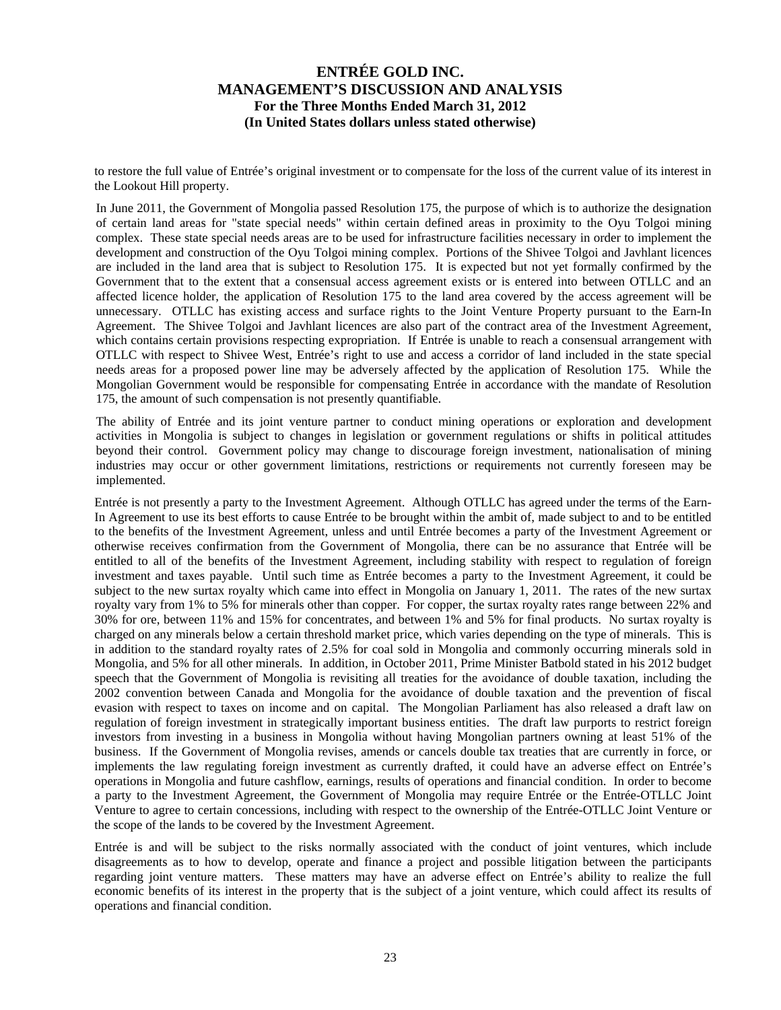to restore the full value of Entrée's original investment or to compensate for the loss of the current value of its interest in the Lookout Hill property.

In June 2011, the Government of Mongolia passed Resolution 175, the purpose of which is to authorize the designation of certain land areas for "state special needs" within certain defined areas in proximity to the Oyu Tolgoi mining complex. These state special needs areas are to be used for infrastructure facilities necessary in order to implement the development and construction of the Oyu Tolgoi mining complex. Portions of the Shivee Tolgoi and Javhlant licences are included in the land area that is subject to Resolution 175. It is expected but not yet formally confirmed by the Government that to the extent that a consensual access agreement exists or is entered into between OTLLC and an affected licence holder, the application of Resolution 175 to the land area covered by the access agreement will be unnecessary. OTLLC has existing access and surface rights to the Joint Venture Property pursuant to the Earn-In Agreement. The Shivee Tolgoi and Javhlant licences are also part of the contract area of the Investment Agreement, which contains certain provisions respecting expropriation. If Entrée is unable to reach a consensual arrangement with OTLLC with respect to Shivee West, Entrée's right to use and access a corridor of land included in the state special needs areas for a proposed power line may be adversely affected by the application of Resolution 175. While the Mongolian Government would be responsible for compensating Entrée in accordance with the mandate of Resolution 175, the amount of such compensation is not presently quantifiable.

The ability of Entrée and its joint venture partner to conduct mining operations or exploration and development activities in Mongolia is subject to changes in legislation or government regulations or shifts in political attitudes beyond their control. Government policy may change to discourage foreign investment, nationalisation of mining industries may occur or other government limitations, restrictions or requirements not currently foreseen may be implemented.

Entrée is not presently a party to the Investment Agreement. Although OTLLC has agreed under the terms of the Earn-In Agreement to use its best efforts to cause Entrée to be brought within the ambit of, made subject to and to be entitled to the benefits of the Investment Agreement, unless and until Entrée becomes a party of the Investment Agreement or otherwise receives confirmation from the Government of Mongolia, there can be no assurance that Entrée will be entitled to all of the benefits of the Investment Agreement, including stability with respect to regulation of foreign investment and taxes payable. Until such time as Entrée becomes a party to the Investment Agreement, it could be subject to the new surtax royalty which came into effect in Mongolia on January 1, 2011. The rates of the new surtax royalty vary from 1% to 5% for minerals other than copper. For copper, the surtax royalty rates range between 22% and 30% for ore, between 11% and 15% for concentrates, and between 1% and 5% for final products. No surtax royalty is charged on any minerals below a certain threshold market price, which varies depending on the type of minerals. This is in addition to the standard royalty rates of 2.5% for coal sold in Mongolia and commonly occurring minerals sold in Mongolia, and 5% for all other minerals. In addition, in October 2011, Prime Minister Batbold stated in his 2012 budget speech that the Government of Mongolia is revisiting all treaties for the avoidance of double taxation, including the 2002 convention between Canada and Mongolia for the avoidance of double taxation and the prevention of fiscal evasion with respect to taxes on income and on capital. The Mongolian Parliament has also released a draft law on regulation of foreign investment in strategically important business entities. The draft law purports to restrict foreign investors from investing in a business in Mongolia without having Mongolian partners owning at least 51% of the business. If the Government of Mongolia revises, amends or cancels double tax treaties that are currently in force, or implements the law regulating foreign investment as currently drafted, it could have an adverse effect on Entrée's operations in Mongolia and future cashflow, earnings, results of operations and financial condition. In order to become a party to the Investment Agreement, the Government of Mongolia may require Entrée or the Entrée-OTLLC Joint Venture to agree to certain concessions, including with respect to the ownership of the Entrée-OTLLC Joint Venture or the scope of the lands to be covered by the Investment Agreement.

Entrée is and will be subject to the risks normally associated with the conduct of joint ventures, which include disagreements as to how to develop, operate and finance a project and possible litigation between the participants regarding joint venture matters. These matters may have an adverse effect on Entrée's ability to realize the full economic benefits of its interest in the property that is the subject of a joint venture, which could affect its results of operations and financial condition.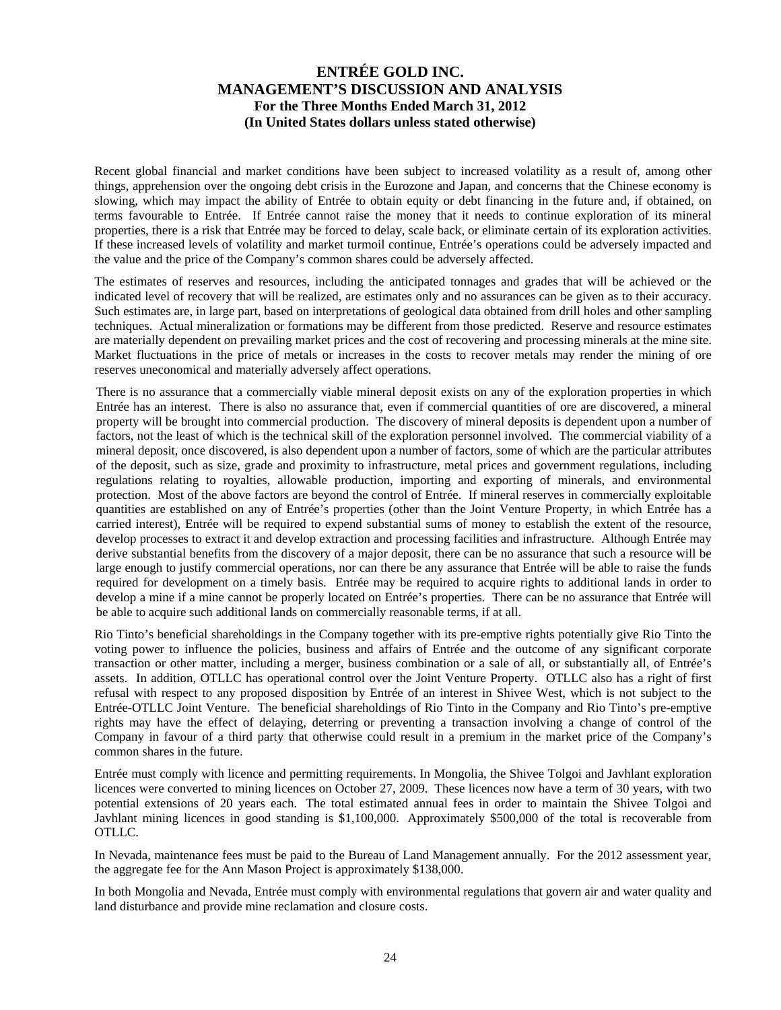Recent global financial and market conditions have been subject to increased volatility as a result of, among other things, apprehension over the ongoing debt crisis in the Eurozone and Japan, and concerns that the Chinese economy is slowing, which may impact the ability of Entrée to obtain equity or debt financing in the future and, if obtained, on terms favourable to Entrée. If Entrée cannot raise the money that it needs to continue exploration of its mineral properties, there is a risk that Entrée may be forced to delay, scale back, or eliminate certain of its exploration activities. If these increased levels of volatility and market turmoil continue, Entrée's operations could be adversely impacted and the value and the price of the Company's common shares could be adversely affected.

The estimates of reserves and resources, including the anticipated tonnages and grades that will be achieved or the indicated level of recovery that will be realized, are estimates only and no assurances can be given as to their accuracy. Such estimates are, in large part, based on interpretations of geological data obtained from drill holes and other sampling techniques. Actual mineralization or formations may be different from those predicted. Reserve and resource estimates are materially dependent on prevailing market prices and the cost of recovering and processing minerals at the mine site. Market fluctuations in the price of metals or increases in the costs to recover metals may render the mining of ore reserves uneconomical and materially adversely affect operations.

There is no assurance that a commercially viable mineral deposit exists on any of the exploration properties in which Entrée has an interest. There is also no assurance that, even if commercial quantities of ore are discovered, a mineral property will be brought into commercial production. The discovery of mineral deposits is dependent upon a number of factors, not the least of which is the technical skill of the exploration personnel involved. The commercial viability of a mineral deposit, once discovered, is also dependent upon a number of factors, some of which are the particular attributes of the deposit, such as size, grade and proximity to infrastructure, metal prices and government regulations, including regulations relating to royalties, allowable production, importing and exporting of minerals, and environmental protection. Most of the above factors are beyond the control of Entrée. If mineral reserves in commercially exploitable quantities are established on any of Entrée's properties (other than the Joint Venture Property, in which Entrée has a carried interest), Entrée will be required to expend substantial sums of money to establish the extent of the resource, develop processes to extract it and develop extraction and processing facilities and infrastructure. Although Entrée may derive substantial benefits from the discovery of a major deposit, there can be no assurance that such a resource will be large enough to justify commercial operations, nor can there be any assurance that Entrée will be able to raise the funds required for development on a timely basis. Entrée may be required to acquire rights to additional lands in order to develop a mine if a mine cannot be properly located on Entrée's properties. There can be no assurance that Entrée will be able to acquire such additional lands on commercially reasonable terms, if at all.

Rio Tinto's beneficial shareholdings in the Company together with its pre-emptive rights potentially give Rio Tinto the voting power to influence the policies, business and affairs of Entrée and the outcome of any significant corporate transaction or other matter, including a merger, business combination or a sale of all, or substantially all, of Entrée's assets. In addition, OTLLC has operational control over the Joint Venture Property. OTLLC also has a right of first refusal with respect to any proposed disposition by Entrée of an interest in Shivee West, which is not subject to the Entrée-OTLLC Joint Venture. The beneficial shareholdings of Rio Tinto in the Company and Rio Tinto's pre-emptive rights may have the effect of delaying, deterring or preventing a transaction involving a change of control of the Company in favour of a third party that otherwise could result in a premium in the market price of the Company's common shares in the future.

Entrée must comply with licence and permitting requirements. In Mongolia, the Shivee Tolgoi and Javhlant exploration licences were converted to mining licences on October 27, 2009. These licences now have a term of 30 years, with two potential extensions of 20 years each. The total estimated annual fees in order to maintain the Shivee Tolgoi and Javhlant mining licences in good standing is \$1,100,000. Approximately \$500,000 of the total is recoverable from OTLLC.

In Nevada, maintenance fees must be paid to the Bureau of Land Management annually. For the 2012 assessment year, the aggregate fee for the Ann Mason Project is approximately \$138,000.

In both Mongolia and Nevada, Entrée must comply with environmental regulations that govern air and water quality and land disturbance and provide mine reclamation and closure costs.